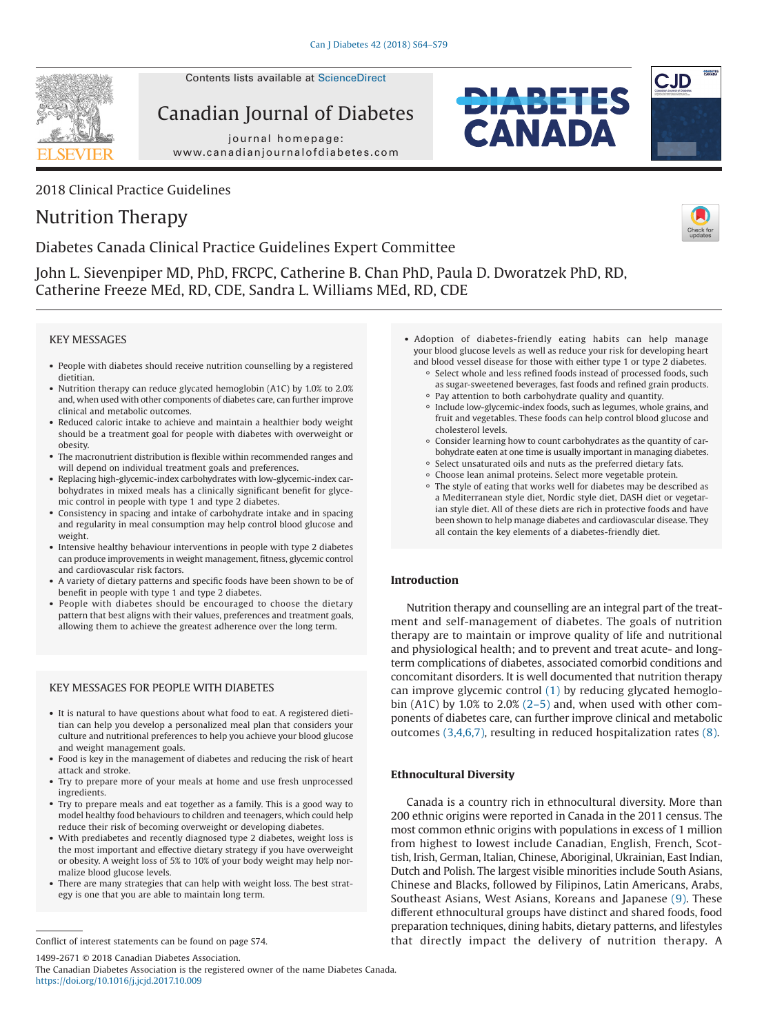

Contents lists available at ScienceDirect

# Canadian Journal of Diabetes

journal homepage: www.canadianjournalofdiabetes.com

## 2018 Clinical Practice Guidelines

## Nutrition Therapy

Diabetes Canada Clinical Practice Guidelines Expert Committee

**DIABETES CANADA** 



**EXNADA** 

C.JD

John L. Sievenpiper MD, PhD, FRCPC, Catherine B. Chan PhD, Paula D. Dworatzek PhD, RD, Catherine Freeze MEd, RD, CDE, Sandra L. Williams MEd, RD, CDE

## KEY MESSAGES

- People with diabetes should receive nutrition counselling by a registered dietitian.
- Nutrition therapy can reduce glycated hemoglobin (A1C) by 1.0% to 2.0% and, when used with other components of diabetes care, can further improve clinical and metabolic outcomes.
- Reduced caloric intake to achieve and maintain a healthier body weight should be a treatment goal for people with diabetes with overweight or obesity.
- The macronutrient distribution is flexible within recommended ranges and will depend on individual treatment goals and preferences.
- Replacing high-glycemic-index carbohydrates with low-glycemic-index carbohydrates in mixed meals has a clinically significant benefit for glycemic control in people with type 1 and type 2 diabetes.
- Consistency in spacing and intake of carbohydrate intake and in spacing and regularity in meal consumption may help control blood glucose and weight.
- Intensive healthy behaviour interventions in people with type 2 diabetes can produce improvements in weight management, fitness, glycemic control and cardiovascular risk factors.
- A variety of dietary patterns and specific foods have been shown to be of benefit in people with type 1 and type 2 diabetes.
- People with diabetes should be encouraged to choose the dietary pattern that best aligns with their values, preferences and treatment goals, allowing them to achieve the greatest adherence over the long term.

## KEY MESSAGES FOR PEOPLE WITH DIABETES

- It is natural to have questions about what food to eat. A registered dietitian can help you develop a personalized meal plan that considers your culture and nutritional preferences to help you achieve your blood glucose and weight management goals.
- Food is key in the management of diabetes and reducing the risk of heart attack and stroke.
- Try to prepare more of your meals at home and use fresh unprocessed ingredients.
- Try to prepare meals and eat together as a family. This is a good way to model healthy food behaviours to children and teenagers, which could help reduce their risk of becoming overweight or developing diabetes.
- With prediabetes and recently diagnosed type 2 diabetes, weight loss is the most important and effective dietary strategy if you have overweight or obesity. A weight loss of 5% to 10% of your body weight may help normalize blood glucose levels.
- There are many strategies that can help with weight loss. The best strategy is one that you are able to maintain long term.

1499-2671 © 2018 Canadian Diabetes Association.

- Adoption of diabetes-friendly eating habits can help manage your blood glucose levels as well as reduce your risk for developing heart and blood vessel disease for those with either type 1 or type 2 diabetes.
	- Select whole and less refined foods instead of processed foods, such as sugar-sweetened beverages, fast foods and refined grain products.
	- Pay attention to both carbohydrate quality and quantity.
	- Include low-glycemic-index foods, such as legumes, whole grains, and fruit and vegetables. These foods can help control blood glucose and cholesterol levels.
	- Consider learning how to count carbohydrates as the quantity of carbohydrate eaten at one time is usually important in managing diabetes.
	- Select unsaturated oils and nuts as the preferred dietary fats.
	- Choose lean animal proteins. Select more vegetable protein.
	- The style of eating that works well for diabetes may be described as a Mediterranean style diet, Nordic style diet, DASH diet or vegetarian style diet. All of these diets are rich in protective foods and have been shown to help manage diabetes and cardiovascular disease. They all contain the key elements of a diabetes-friendly diet.

## **Introduction**

Nutrition therapy and counselling are an integral part of the treatment and self-management of diabetes. The goals of nutrition therapy are to maintain or improve quality of life and nutritional and physiological health; and to prevent and treat acute- and longterm complications of diabetes, associated comorbid conditions and concomitant disorders. It is well documented that nutrition therapy can improve glycemic control (1) by reducing glycated hemoglobin (A1C) by 1.0% to 2.0% (2–5) and, when used with other components of diabetes care, can further improve clinical and metabolic outcomes (3,4,6,7), resulting in reduced hospitalization rates (8).

## **Ethnocultural Diversity**

Canada is a country rich in ethnocultural diversity. More than 200 ethnic origins were reported in Canada in the 2011 census. The most common ethnic origins with populations in excess of 1 million from highest to lowest include Canadian, English, French, Scottish, Irish, German, Italian, Chinese, Aboriginal, Ukrainian, East Indian, Dutch and Polish. The largest visible minorities include South Asians, Chinese and Blacks, followed by Filipinos, Latin Americans, Arabs, Southeast Asians, West Asians, Koreans and Japanese (9). These different ethnocultural groups have distinct and shared foods, food preparation techniques, dining habits, dietary patterns, and lifestyles Conflict of interest statements can be found on page S74. that directly impact the delivery of nutrition therapy. A

The Canadian Diabetes Association is the registered owner of the name Diabetes Canada. https://doi.org/10.1016/j.jcjd.2017.10.009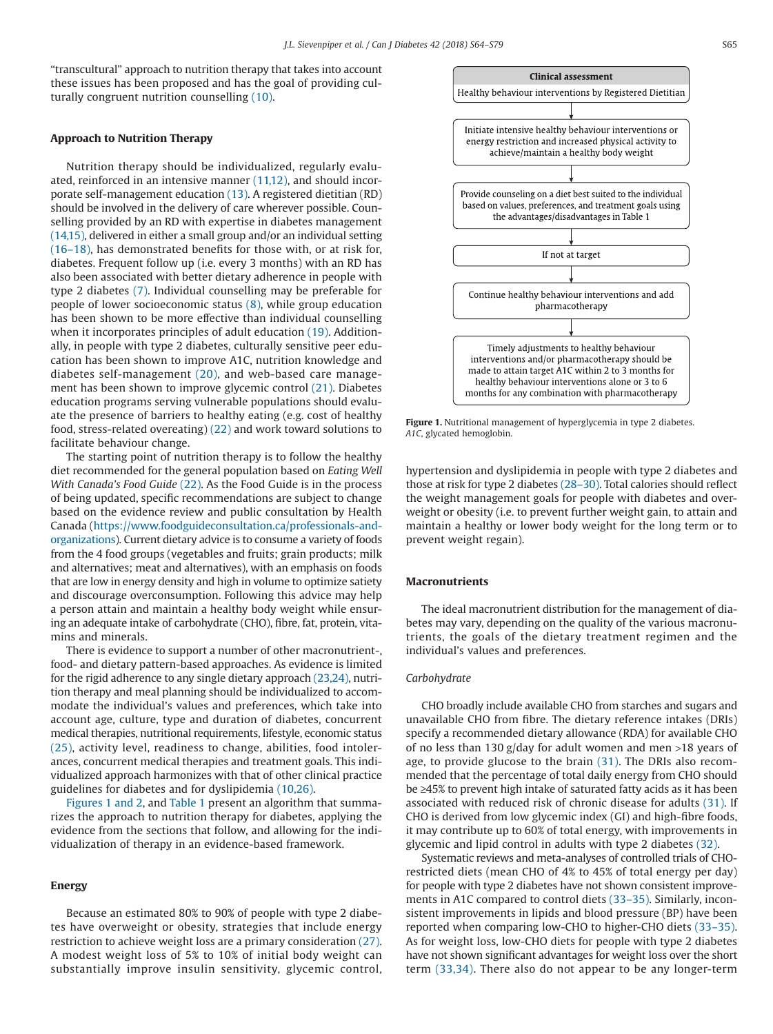"transcultural" approach to nutrition therapy that takes into account these issues has been proposed and has the goal of providing culturally congruent nutrition counselling (10).

## **Approach to Nutrition Therapy**

Nutrition therapy should be individualized, regularly evaluated, reinforced in an intensive manner (11,12), and should incorporate self-management education (13). A registered dietitian (RD) should be involved in the delivery of care wherever possible. Counselling provided by an RD with expertise in diabetes management (14,15), delivered in either a small group and/or an individual setting (16–18), has demonstrated benefits for those with, or at risk for, diabetes. Frequent follow up (i.e. every 3 months) with an RD has also been associated with better dietary adherence in people with type 2 diabetes (7). Individual counselling may be preferable for people of lower socioeconomic status (8), while group education has been shown to be more effective than individual counselling when it incorporates principles of adult education (19). Additionally, in people with type 2 diabetes, culturally sensitive peer education has been shown to improve A1C, nutrition knowledge and diabetes self-management (20), and web-based care management has been shown to improve glycemic control (21). Diabetes education programs serving vulnerable populations should evaluate the presence of barriers to healthy eating (e.g. cost of healthy food, stress-related overeating) (22) and work toward solutions to facilitate behaviour change.

The starting point of nutrition therapy is to follow the healthy diet recommended for the general population based on *Eating Well With Canada's Food Guide* (22). As the Food Guide is in the process of being updated, specific recommendations are subject to change based on the evidence review and public consultation by Health Canada (https://www.foodguideconsultation.ca/professionals-andorganizations). Current dietary advice is to consume a variety of foods from the 4 food groups (vegetables and fruits; grain products; milk and alternatives; meat and alternatives), with an emphasis on foods that are low in energy density and high in volume to optimize satiety and discourage overconsumption. Following this advice may help a person attain and maintain a healthy body weight while ensuring an adequate intake of carbohydrate (CHO), fibre, fat, protein, vitamins and minerals.

There is evidence to support a number of other macronutrient-, food- and dietary pattern-based approaches. As evidence is limited for the rigid adherence to any single dietary approach (23,24), nutrition therapy and meal planning should be individualized to accommodate the individual's values and preferences, which take into account age, culture, type and duration of diabetes, concurrent medical therapies, nutritional requirements, lifestyle, economic status (25), activity level, readiness to change, abilities, food intolerances, concurrent medical therapies and treatment goals. This individualized approach harmonizes with that of other clinical practice guidelines for diabetes and for dyslipidemia (10,26).

Figures 1 and 2, and Table 1 present an algorithm that summarizes the approach to nutrition therapy for diabetes, applying the evidence from the sections that follow, and allowing for the individualization of therapy in an evidence-based framework.

## **Energy**

Because an estimated 80% to 90% of people with type 2 diabetes have overweight or obesity, strategies that include energy restriction to achieve weight loss are a primary consideration (27). A modest weight loss of 5% to 10% of initial body weight can substantially improve insulin sensitivity, glycemic control,



**Figure 1.** Nutritional management of hyperglycemia in type 2 diabetes. *A1C*, glycated hemoglobin.

hypertension and dyslipidemia in people with type 2 diabetes and those at risk for type 2 diabetes (28–30). Total calories should reflect the weight management goals for people with diabetes and overweight or obesity (i.e. to prevent further weight gain, to attain and maintain a healthy or lower body weight for the long term or to prevent weight regain).

## **Macronutrients**

The ideal macronutrient distribution for the management of diabetes may vary, depending on the quality of the various macronutrients, the goals of the dietary treatment regimen and the individual's values and preferences.

#### *Carbohydrate*

CHO broadly include available CHO from starches and sugars and unavailable CHO from fibre. The dietary reference intakes (DRIs) specify a recommended dietary allowance (RDA) for available CHO of no less than 130 g/day for adult women and men >18 years of age, to provide glucose to the brain (31). The DRIs also recommended that the percentage of total daily energy from CHO should be ≥45% to prevent high intake of saturated fatty acids as it has been associated with reduced risk of chronic disease for adults (31). If CHO is derived from low glycemic index (GI) and high-fibre foods, it may contribute up to 60% of total energy, with improvements in glycemic and lipid control in adults with type 2 diabetes (32).

Systematic reviews and meta-analyses of controlled trials of CHOrestricted diets (mean CHO of 4% to 45% of total energy per day) for people with type 2 diabetes have not shown consistent improvements in A1C compared to control diets (33–35). Similarly, inconsistent improvements in lipids and blood pressure (BP) have been reported when comparing low-CHO to higher-CHO diets (33–35). As for weight loss, low-CHO diets for people with type 2 diabetes have not shown significant advantages for weight loss over the short term (33,34). There also do not appear to be any longer-term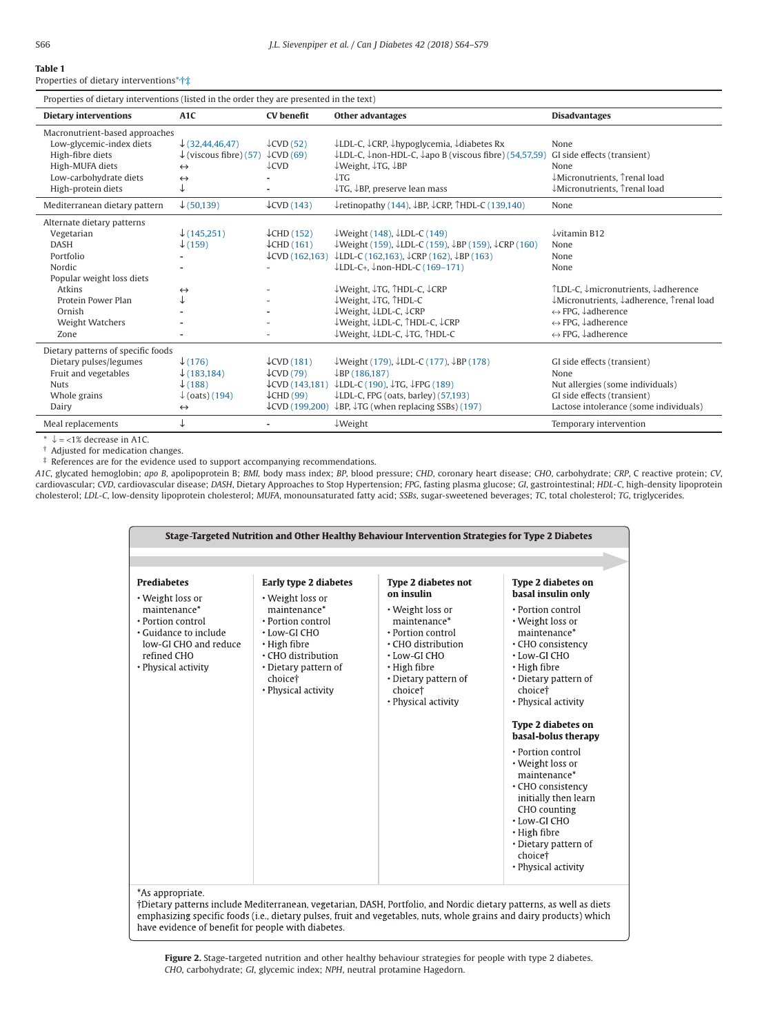#### **Table 1**

Properties of dietary interventions\*,†‡

| Properties of dietary interventions (listed in the order they are presented in the text) |  |
|------------------------------------------------------------------------------------------|--|
|                                                                                          |  |

| roperties or dictary mich ventions (mated in the order they are presented in the text) |                                   |                            |                                                                                               |                                               |
|----------------------------------------------------------------------------------------|-----------------------------------|----------------------------|-----------------------------------------------------------------------------------------------|-----------------------------------------------|
| <b>Dietary interventions</b>                                                           | A <sub>1</sub> C                  | <b>CV</b> benefit          | <b>Other advantages</b>                                                                       | <b>Disadvantages</b>                          |
| Macronutrient-based approaches                                                         |                                   |                            |                                                                                               |                                               |
| Low-glycemic-index diets                                                               | $\downarrow$ (32,44,46,47)        | $\downarrow$ CVD (52)      | $\downarrow$ LDL-C, $\downarrow$ CRP, $\downarrow$ hypoglycemia, $\downarrow$ diabetes Rx     | None                                          |
| High-fibre diets                                                                       | $\downarrow$ (viscous fibre) (57) | $\downarrow$ CVD (69)      | ↓LDL-C, ↓non-HDL-C, ↓apo B (viscous fibre) (54,57,59)                                         | GI side effects (transient)                   |
| High-MUFA diets                                                                        | $\leftrightarrow$                 | $\downarrow$ CVD           | ↓Weight, ↓TG, ↓BP                                                                             | None                                          |
| Low-carbohydrate diets                                                                 | $\leftrightarrow$                 |                            | $\downarrow$ TG                                                                               | ↓Micronutrients, Trenal load                  |
| High-protein diets                                                                     |                                   |                            | $\downarrow$ TG, $\downarrow$ BP, preserve lean mass                                          | ↓Micronutrients, 1renal load                  |
| Mediterranean dietary pattern                                                          | $\downarrow$ (50,139)             | $\downarrow$ CVD $(143)$   | $\downarrow$ retinopathy (144), $\downarrow$ BP, $\downarrow$ CRP, $\uparrow$ HDL-C (139,140) | None                                          |
| Alternate dietary patterns                                                             |                                   |                            |                                                                                               |                                               |
| Vegetarian                                                                             | $\downarrow$ (145,251)            | $\downarrow$ CHD (152)     | $\downarrow$ Weight (148), $\downarrow$ LDL-C (149)                                           | $\downarrow$ vitamin B12                      |
| <b>DASH</b>                                                                            | $\downarrow$ (159)                | $\downarrow$ CHD $(161)$   | ↓Weight (159), ↓LDL-C (159), ↓BP (159), ↓CRP (160)                                            | None                                          |
| Portfolio                                                                              |                                   | $\downarrow$ CVD (162,163) | $\downarrow$ LDL-C (162,163), $\downarrow$ CRP (162), $\downarrow$ BP (163)                   | None                                          |
| Nordic                                                                                 |                                   |                            | $\downarrow$ LDL-C+, $\downarrow$ non-HDL-C (169–171)                                         | None                                          |
| Popular weight loss diets                                                              |                                   |                            |                                                                                               |                                               |
| Atkins                                                                                 | $\leftrightarrow$                 |                            | ↓Weight, ↓TG, ↑HDL-C, ↓CRP                                                                    | ↑LDL-C, ↓micronutrients, ↓adherence           |
| Protein Power Plan                                                                     |                                   |                            | ↓Weight, ↓TG, ↑HDL-C                                                                          | ↓Micronutrients, ↓adherence, 1renal load      |
| Ornish                                                                                 |                                   |                            | $\downarrow$ Weight, $\downarrow$ LDL-C, $\downarrow$ CRP                                     | $\leftrightarrow$ FPG, $\downarrow$ adherence |
| Weight Watchers                                                                        |                                   |                            | ↓Weight, ↓LDL-C, ↑HDL-C, ↓CRP                                                                 | $\leftrightarrow$ FPG, $\downarrow$ adherence |
| Zone                                                                                   |                                   | $\overline{\phantom{a}}$   | ↓Weight, ↓LDL-C, ↓TG, ↑HDL-C                                                                  | $\leftrightarrow$ FPG, $\downarrow$ adherence |
| Dietary patterns of specific foods                                                     |                                   |                            |                                                                                               |                                               |
| Dietary pulses/legumes                                                                 | $\downarrow$ (176)                | $\downarrow$ CVD $(181)$   | ↓Weight (179), ↓LDL-C (177), ↓BP (178)                                                        | GI side effects (transient)                   |
| Fruit and vegetables                                                                   | $\downarrow$ (183,184)            | $\downarrow$ CVD (79)      | $\downarrow$ BP (186,187)                                                                     | None                                          |
| <b>Nuts</b>                                                                            | $\downarrow$ (188)                | $\downarrow$ CVD (143,181) | ↓LDL-C (190), ↓TG, ↓FPG (189)                                                                 | Nut allergies (some individuals)              |
| Whole grains                                                                           | $\downarrow$ (oats) (194)         | $\downarrow$ CHD (99)      | $\downarrow$ LDL-C, FPG (oats, barley) (57,193)                                               | GI side effects (transient)                   |
| Dairy                                                                                  | $\leftrightarrow$                 | $\downarrow$ CVD (199,200) | $\downarrow$ BP, $\downarrow$ TG (when replacing SSBs) (197)                                  | Lactose intolerance (some individuals)        |
| Meal replacements                                                                      | ↓                                 |                            | $\downarrow$ Weight                                                                           | Temporary intervention                        |

\*  $\sqrt{2} = 1\%$  decrease in A1C.

 $^\dagger$  Adjusted for medication changes.

‡ References are for the evidence used to support accompanying recommendations.

A1C, glycated hemoglobin; apo B, apolipoprotein B; BMI, body mass index; BP, blood pressure; CHD, coronary heart disease; CHO, carbohydrate; CRP, C reactive protein; CV, cardiovascular; *CVD,* cardiovascular disease; *DASH*, Dietary Approaches to Stop Hypertension; *FPG*, fasting plasma glucose; *GI*, gastrointestinal; *HDL-C*, high-density lipoprotein cholesterol; *LDL-C*, low-density lipoprotein cholesterol; *MUFA*, monounsaturated fatty acid; *SSBs*, sugar-sweetened beverages; *TC*, total cholesterol; *TG*, triglycerides.

| <b>Prediabetes</b>                                                                                                        | Early type 2 diabetes                                                                                                                             | Type 2 diabetes not                                                                                                                                                   | <b>Type 2 diabetes on</b>                                                                                                                                                                                                                                                                                                                                                                                                                |
|---------------------------------------------------------------------------------------------------------------------------|---------------------------------------------------------------------------------------------------------------------------------------------------|-----------------------------------------------------------------------------------------------------------------------------------------------------------------------|------------------------------------------------------------------------------------------------------------------------------------------------------------------------------------------------------------------------------------------------------------------------------------------------------------------------------------------------------------------------------------------------------------------------------------------|
| • Weight loss or                                                                                                          | • Weight loss or                                                                                                                                  | on insulin                                                                                                                                                            | basal insulin only                                                                                                                                                                                                                                                                                                                                                                                                                       |
| maintenance*<br>• Portion control<br>• Guidance to include<br>low-GI CHO and reduce<br>refined CHO<br>• Physical activity | maintenance*<br>• Portion control<br>• Low-GI CHO<br>• High fibre<br>• CHO distribution<br>• Dietary pattern of<br>choicet<br>• Physical activity | • Weight loss or<br>maintenance*<br>• Portion control<br>• CHO distribution<br>• Low-GI CHO<br>• High fibre<br>• Dietary pattern of<br>choicet<br>• Physical activity | • Portion control<br>• Weight loss or<br>maintenance*<br>• CHO consistency<br>• Low-GI CHO<br>• High fibre<br>• Dietary pattern of<br>choicet<br>• Physical activity<br><b>Type 2 diabetes on</b><br>basal-bolus therapy<br>• Portion control<br>• Weight loss or<br>maintenance*<br>• CHO consistency<br>initially then learn<br>CHO counting<br>• Low-GI CHO<br>• High fibre<br>• Dietary pattern of<br>choicet<br>• Physical activity |

**Figure 2.** Stage-targeted nutrition and other healthy behaviour strategies for people with type 2 diabetes. *CHO,* carbohydrate; *GI*, glycemic index; *NPH*, neutral protamine Hagedorn.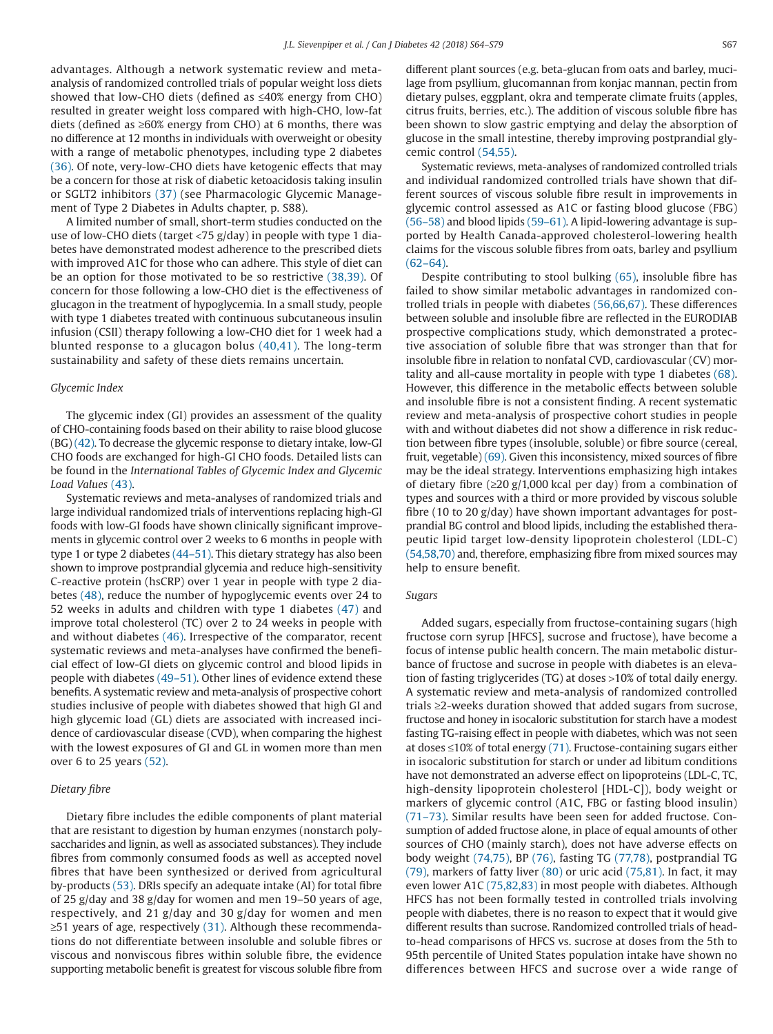advantages. Although a network systematic review and metaanalysis of randomized controlled trials of popular weight loss diets showed that low-CHO diets (defined as ≤40% energy from CHO) resulted in greater weight loss compared with high-CHO, low-fat diets (defined as ≥60% energy from CHO) at 6 months, there was no difference at 12 months in individuals with overweight or obesity with a range of metabolic phenotypes, including type 2 diabetes (36). Of note, very-low-CHO diets have ketogenic effects that may be a concern for those at risk of diabetic ketoacidosis taking insulin or SGLT2 inhibitors (37) (see Pharmacologic Glycemic Management of Type 2 Diabetes in Adults chapter, p. S88).

A limited number of small, short-term studies conducted on the use of low-CHO diets (target <75 g/day) in people with type 1 diabetes have demonstrated modest adherence to the prescribed diets with improved A1C for those who can adhere. This style of diet can be an option for those motivated to be so restrictive (38,39). Of concern for those following a low-CHO diet is the effectiveness of glucagon in the treatment of hypoglycemia. In a small study, people with type 1 diabetes treated with continuous subcutaneous insulin infusion (CSII) therapy following a low-CHO diet for 1 week had a blunted response to a glucagon bolus (40,41). The long-term sustainability and safety of these diets remains uncertain.

#### *Glycemic Index*

The glycemic index (GI) provides an assessment of the quality of CHO-containing foods based on their ability to raise blood glucose (BG) (42). To decrease the glycemic response to dietary intake, low-GI CHO foods are exchanged for high-GI CHO foods. Detailed lists can be found in the *International Tables of Glycemic Index and Glycemic Load Values* (43).

Systematic reviews and meta-analyses of randomized trials and large individual randomized trials of interventions replacing high-GI foods with low-GI foods have shown clinically significant improvements in glycemic control over 2 weeks to 6 months in people with type 1 or type 2 diabetes (44–51). This dietary strategy has also been shown to improve postprandial glycemia and reduce high-sensitivity C-reactive protein (hsCRP) over 1 year in people with type 2 diabetes (48), reduce the number of hypoglycemic events over 24 to 52 weeks in adults and children with type 1 diabetes (47) and improve total cholesterol (TC) over 2 to 24 weeks in people with and without diabetes (46). Irrespective of the comparator, recent systematic reviews and meta-analyses have confirmed the beneficial effect of low-GI diets on glycemic control and blood lipids in people with diabetes (49–51). Other lines of evidence extend these benefits. A systematic review and meta-analysis of prospective cohort studies inclusive of people with diabetes showed that high GI and high glycemic load (GL) diets are associated with increased incidence of cardiovascular disease (CVD), when comparing the highest with the lowest exposures of GI and GL in women more than men over 6 to 25 years (52).

### *Dietary fibre*

Dietary fibre includes the edible components of plant material that are resistant to digestion by human enzymes (nonstarch polysaccharides and lignin, as well as associated substances). They include fibres from commonly consumed foods as well as accepted novel fibres that have been synthesized or derived from agricultural by-products (53). DRIs specify an adequate intake (AI) for total fibre of 25 g/day and 38 g/day for women and men 19–50 years of age, respectively, and 21 g/day and 30 g/day for women and men  $\geq$ 51 years of age, respectively (31). Although these recommendations do not differentiate between insoluble and soluble fibres or viscous and nonviscous fibres within soluble fibre, the evidence supporting metabolic benefit is greatest for viscous soluble fibre from different plant sources (e.g. beta-glucan from oats and barley, mucilage from psyllium, glucomannan from konjac mannan, pectin from dietary pulses, eggplant, okra and temperate climate fruits (apples, citrus fruits, berries, etc.). The addition of viscous soluble fibre has been shown to slow gastric emptying and delay the absorption of glucose in the small intestine, thereby improving postprandial glycemic control (54,55).

Systematic reviews, meta-analyses of randomized controlled trials and individual randomized controlled trials have shown that different sources of viscous soluble fibre result in improvements in glycemic control assessed as A1C or fasting blood glucose (FBG) (56–58) and blood lipids (59–61). A lipid-lowering advantage is supported by Health Canada-approved cholesterol-lowering health claims for the viscous soluble fibres from oats, barley and psyllium  $(62–64)$ .

Despite contributing to stool bulking (65), insoluble fibre has failed to show similar metabolic advantages in randomized controlled trials in people with diabetes (56,66,67). These differences between soluble and insoluble fibre are reflected in the EURODIAB prospective complications study, which demonstrated a protective association of soluble fibre that was stronger than that for insoluble fibre in relation to nonfatal CVD, cardiovascular (CV) mortality and all-cause mortality in people with type 1 diabetes (68). However, this difference in the metabolic effects between soluble and insoluble fibre is not a consistent finding. A recent systematic review and meta-analysis of prospective cohort studies in people with and without diabetes did not show a difference in risk reduction between fibre types (insoluble, soluble) or fibre source (cereal, fruit, vegetable) (69). Given this inconsistency, mixed sources of fibre may be the ideal strategy. Interventions emphasizing high intakes of dietary fibre ( $\geq$ 20 g/1,000 kcal per day) from a combination of types and sources with a third or more provided by viscous soluble fibre (10 to 20 g/day) have shown important advantages for postprandial BG control and blood lipids, including the established therapeutic lipid target low-density lipoprotein cholesterol (LDL-C) (54,58,70) and, therefore, emphasizing fibre from mixed sources may help to ensure benefit.

## *Sugars*

Added sugars, especially from fructose-containing sugars (high fructose corn syrup [HFCS], sucrose and fructose), have become a focus of intense public health concern. The main metabolic disturbance of fructose and sucrose in people with diabetes is an elevation of fasting triglycerides (TG) at doses >10% of total daily energy. A systematic review and meta-analysis of randomized controlled trials ≥2-weeks duration showed that added sugars from sucrose, fructose and honey in isocaloric substitution for starch have a modest fasting TG-raising effect in people with diabetes, which was not seen at doses ≤10% of total energy (71). Fructose-containing sugars either in isocaloric substitution for starch or under ad libitum conditions have not demonstrated an adverse effect on lipoproteins (LDL-C, TC, high-density lipoprotein cholesterol [HDL-C]), body weight or markers of glycemic control (A1C, FBG or fasting blood insulin) (71–73). Similar results have been seen for added fructose. Consumption of added fructose alone, in place of equal amounts of other sources of CHO (mainly starch), does not have adverse effects on body weight (74,75), BP (76), fasting TG (77,78), postprandial TG (79), markers of fatty liver (80) or uric acid (75,81). In fact, it may even lower A1C (75,82,83) in most people with diabetes. Although HFCS has not been formally tested in controlled trials involving people with diabetes, there is no reason to expect that it would give different results than sucrose. Randomized controlled trials of headto-head comparisons of HFCS vs. sucrose at doses from the 5th to 95th percentile of United States population intake have shown no differences between HFCS and sucrose over a wide range of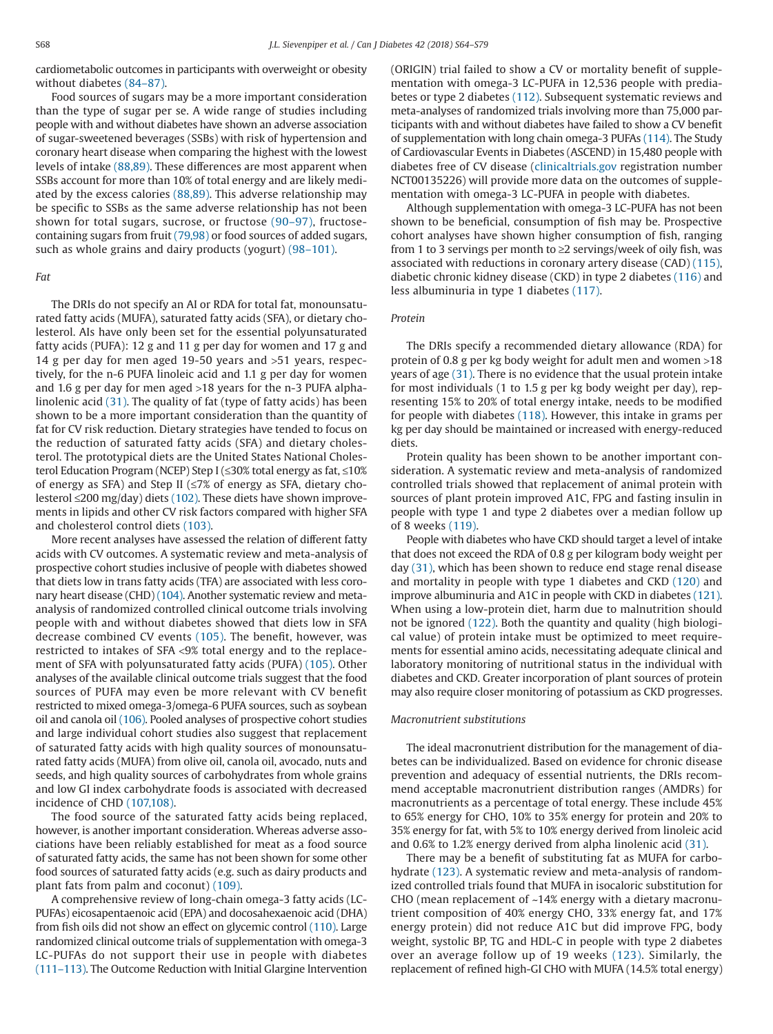cardiometabolic outcomes in participants with overweight or obesity without diabetes (84–87).

Food sources of sugars may be a more important consideration than the type of sugar per se. A wide range of studies including people with and without diabetes have shown an adverse association of sugar-sweetened beverages (SSBs) with risk of hypertension and coronary heart disease when comparing the highest with the lowest levels of intake (88,89). These differences are most apparent when SSBs account for more than 10% of total energy and are likely mediated by the excess calories (88,89). This adverse relationship may be specific to SSBs as the same adverse relationship has not been shown for total sugars, sucrose, or fructose (90–97), fructosecontaining sugars from fruit (79,98) or food sources of added sugars, such as whole grains and dairy products (yogurt) (98–101).

#### *Fat*

The DRIs do not specify an AI or RDA for total fat, monounsaturated fatty acids (MUFA), saturated fatty acids (SFA), or dietary cholesterol. AIs have only been set for the essential polyunsaturated fatty acids (PUFA): 12 g and 11 g per day for women and 17 g and 14 g per day for men aged 19-50 years and >51 years, respectively, for the n-6 PUFA linoleic acid and 1.1 g per day for women and 1.6 g per day for men aged >18 years for the n-3 PUFA alphalinolenic acid (31). The quality of fat (type of fatty acids) has been shown to be a more important consideration than the quantity of fat for CV risk reduction. Dietary strategies have tended to focus on the reduction of saturated fatty acids (SFA) and dietary cholesterol. The prototypical diets are the United States National Cholesterol Education Program (NCEP) Step I (≤30% total energy as fat, ≤10% of energy as SFA) and Step II (≤7% of energy as SFA, dietary cholesterol ≤200 mg/day) diets (102). These diets have shown improvements in lipids and other CV risk factors compared with higher SFA and cholesterol control diets (103).

More recent analyses have assessed the relation of different fatty acids with CV outcomes. A systematic review and meta-analysis of prospective cohort studies inclusive of people with diabetes showed that diets low in trans fatty acids (TFA) are associated with less coronary heart disease (CHD) (104). Another systematic review and metaanalysis of randomized controlled clinical outcome trials involving people with and without diabetes showed that diets low in SFA decrease combined CV events (105). The benefit, however, was restricted to intakes of SFA <9% total energy and to the replacement of SFA with polyunsaturated fatty acids (PUFA) (105). Other analyses of the available clinical outcome trials suggest that the food sources of PUFA may even be more relevant with CV benefit restricted to mixed omega-3/omega-6 PUFA sources, such as soybean oil and canola oil (106). Pooled analyses of prospective cohort studies and large individual cohort studies also suggest that replacement of saturated fatty acids with high quality sources of monounsaturated fatty acids (MUFA) from olive oil, canola oil, avocado, nuts and seeds, and high quality sources of carbohydrates from whole grains and low GI index carbohydrate foods is associated with decreased incidence of CHD (107,108).

The food source of the saturated fatty acids being replaced, however, is another important consideration. Whereas adverse associations have been reliably established for meat as a food source of saturated fatty acids, the same has not been shown for some other food sources of saturated fatty acids (e.g. such as dairy products and plant fats from palm and coconut) (109).

A comprehensive review of long-chain omega-3 fatty acids (LC-PUFAs) eicosapentaenoic acid (EPA) and docosahexaenoic acid (DHA) from fish oils did not show an effect on glycemic control (110). Large randomized clinical outcome trials of supplementation with omega-3 LC-PUFAs do not support their use in people with diabetes (111–113). The Outcome Reduction with Initial Glargine lntervention (ORIGIN) trial failed to show a CV or mortality benefit of supplementation with omega-3 LC-PUFA in 12,536 people with prediabetes or type 2 diabetes (112). Subsequent systematic reviews and meta-analyses of randomized trials involving more than 75,000 participants with and without diabetes have failed to show a CV benefit of supplementation with long chain omega-3 PUFAs (114). The Study of Cardiovascular Events in Diabetes (ASCEND) in 15,480 people with diabetes free of CV disease (clinicaltrials.gov registration number NCT00135226) will provide more data on the outcomes of supplementation with omega-3 LC-PUFA in people with diabetes.

Although supplementation with omega-3 LC-PUFA has not been shown to be beneficial, consumption of fish may be. Prospective cohort analyses have shown higher consumption of fish, ranging from 1 to 3 servings per month to ≥2 servings/week of oily fish, was associated with reductions in coronary artery disease (CAD) (115), diabetic chronic kidney disease (CKD) in type 2 diabetes (116) and less albuminuria in type 1 diabetes (117).

#### *Protein*

The DRIs specify a recommended dietary allowance (RDA) for protein of 0.8 g per kg body weight for adult men and women >18 years of age (31). There is no evidence that the usual protein intake for most individuals (1 to 1.5 g per kg body weight per day), representing 15% to 20% of total energy intake, needs to be modified for people with diabetes (118). However, this intake in grams per kg per day should be maintained or increased with energy-reduced diets.

Protein quality has been shown to be another important consideration. A systematic review and meta-analysis of randomized controlled trials showed that replacement of animal protein with sources of plant protein improved A1C, FPG and fasting insulin in people with type 1 and type 2 diabetes over a median follow up of 8 weeks (119).

People with diabetes who have CKD should target a level of intake that does not exceed the RDA of 0.8 g per kilogram body weight per day (31), which has been shown to reduce end stage renal disease and mortality in people with type 1 diabetes and CKD (120) and improve albuminuria and A1C in people with CKD in diabetes (121). When using a low-protein diet, harm due to malnutrition should not be ignored (122). Both the quantity and quality (high biological value) of protein intake must be optimized to meet requirements for essential amino acids, necessitating adequate clinical and laboratory monitoring of nutritional status in the individual with diabetes and CKD. Greater incorporation of plant sources of protein may also require closer monitoring of potassium as CKD progresses.

## *Macronutrient substitutions*

The ideal macronutrient distribution for the management of diabetes can be individualized. Based on evidence for chronic disease prevention and adequacy of essential nutrients, the DRIs recommend acceptable macronutrient distribution ranges (AMDRs) for macronutrients as a percentage of total energy. These include 45% to 65% energy for CHO, 10% to 35% energy for protein and 20% to 35% energy for fat, with 5% to 10% energy derived from linoleic acid and 0.6% to 1.2% energy derived from alpha linolenic acid (31).

There may be a benefit of substituting fat as MUFA for carbohydrate (123). A systematic review and meta-analysis of randomized controlled trials found that MUFA in isocaloric substitution for CHO (mean replacement of ~14% energy with a dietary macronutrient composition of 40% energy CHO, 33% energy fat, and 17% energy protein) did not reduce A1C but did improve FPG, body weight, systolic BP, TG and HDL-C in people with type 2 diabetes over an average follow up of 19 weeks (123). Similarly, the replacement of refined high-GI CHO with MUFA (14.5% total energy)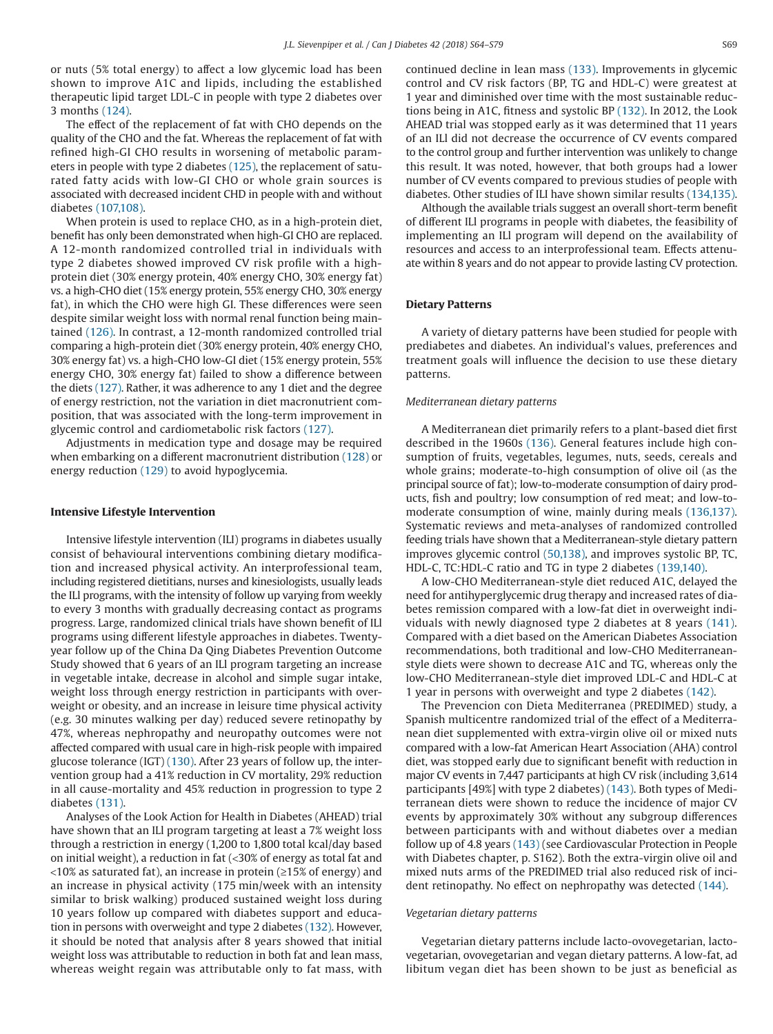or nuts (5% total energy) to affect a low glycemic load has been shown to improve A1C and lipids, including the established therapeutic lipid target LDL-C in people with type 2 diabetes over 3 months (124).

The effect of the replacement of fat with CHO depends on the quality of the CHO and the fat. Whereas the replacement of fat with refined high-GI CHO results in worsening of metabolic parameters in people with type 2 diabetes (125), the replacement of saturated fatty acids with low-GI CHO or whole grain sources is associated with decreased incident CHD in people with and without diabetes (107,108).

When protein is used to replace CHO, as in a high-protein diet, benefit has only been demonstrated when high-GI CHO are replaced. A 12-month randomized controlled trial in individuals with type 2 diabetes showed improved CV risk profile with a highprotein diet (30% energy protein, 40% energy CHO, 30% energy fat) vs. a high-CHO diet (15% energy protein, 55% energy CHO, 30% energy fat), in which the CHO were high GI. These differences were seen despite similar weight loss with normal renal function being maintained (126). In contrast, a 12-month randomized controlled trial comparing a high-protein diet (30% energy protein, 40% energy CHO, 30% energy fat) vs. a high-CHO low-GI diet (15% energy protein, 55% energy CHO, 30% energy fat) failed to show a difference between the diets (127). Rather, it was adherence to any 1 diet and the degree of energy restriction, not the variation in diet macronutrient composition, that was associated with the long-term improvement in glycemic control and cardiometabolic risk factors (127).

Adjustments in medication type and dosage may be required when embarking on a different macronutrient distribution (128) or energy reduction (129) to avoid hypoglycemia.

#### **Intensive Lifestyle Intervention**

Intensive lifestyle intervention (ILI) programs in diabetes usually consist of behavioural interventions combining dietary modification and increased physical activity. An interprofessional team, including registered dietitians, nurses and kinesiologists, usually leads the ILl programs, with the intensity of follow up varying from weekly to every 3 months with gradually decreasing contact as programs progress. Large, randomized clinical trials have shown benefit of ILl programs using different lifestyle approaches in diabetes. Twentyyear follow up of the China Da Qing Diabetes Prevention Outcome Study showed that 6 years of an ILl program targeting an increase in vegetable intake, decrease in alcohol and simple sugar intake, weight loss through energy restriction in participants with overweight or obesity, and an increase in leisure time physical activity (e.g. 30 minutes walking per day) reduced severe retinopathy by 47%, whereas nephropathy and neuropathy outcomes were not affected compared with usual care in high-risk people with impaired glucose tolerance (IGT) (130). After 23 years of follow up, the intervention group had a 41% reduction in CV mortality, 29% reduction in all cause-mortality and 45% reduction in progression to type 2 diabetes (131).

Analyses of the Look Action for Health in Diabetes (AHEAD) trial have shown that an ILl program targeting at least a 7% weight loss through a restriction in energy (1,200 to 1,800 total kcal/day based on initial weight), a reduction in fat (<30% of energy as total fat and  $\langle 10\%$  as saturated fat), an increase in protein ( $\geq 15\%$  of energy) and an increase in physical activity (175 min/week with an intensity similar to brisk walking) produced sustained weight loss during 10 years follow up compared with diabetes support and education in persons with overweight and type 2 diabetes (132). However, it should be noted that analysis after 8 years showed that initial weight loss was attributable to reduction in both fat and lean mass, whereas weight regain was attributable only to fat mass, with continued decline in lean mass (133). Improvements in glycemic control and CV risk factors (BP, TG and HDL-C) were greatest at 1 year and diminished over time with the most sustainable reductions being in A1C, fitness and systolic BP (132). In 2012, the Look AHEAD trial was stopped early as it was determined that 11 years of an ILl did not decrease the occurrence of CV events compared to the control group and further intervention was unlikely to change this result. It was noted, however, that both groups had a lower number of CV events compared to previous studies of people with diabetes. Other studies of ILI have shown similar results (134,135).

Although the available trials suggest an overall short-term benefit of different ILl programs in people with diabetes, the feasibility of implementing an ILl program will depend on the availability of resources and access to an interprofessional team. Effects attenuate within 8 years and do not appear to provide lasting CV protection.

#### **Dietary Patterns**

A variety of dietary patterns have been studied for people with prediabetes and diabetes. An individual's values, preferences and treatment goals will influence the decision to use these dietary patterns.

#### *Mediterranean dietary patterns*

A Mediterranean diet primarily refers to a plant-based diet first described in the 1960s (136). General features include high consumption of fruits, vegetables, legumes, nuts, seeds, cereals and whole grains; moderate-to-high consumption of olive oil (as the principal source of fat); low-to-moderate consumption of dairy products, fish and poultry; low consumption of red meat; and low-tomoderate consumption of wine, mainly during meals (136,137). Systematic reviews and meta-analyses of randomized controlled feeding trials have shown that a Mediterranean-style dietary pattern improves glycemic control (50,138), and improves systolic BP, TC, HDL-C, TC:HDL-C ratio and TG in type 2 diabetes (139,140).

A low-CHO Mediterranean-style diet reduced A1C, delayed the need for antihyperglycemic drug therapy and increased rates of diabetes remission compared with a low-fat diet in overweight individuals with newly diagnosed type 2 diabetes at 8 years (141). Compared with a diet based on the American Diabetes Association recommendations, both traditional and low-CHO Mediterraneanstyle diets were shown to decrease A1C and TG, whereas only the low-CHO Mediterranean-style diet improved LDL-C and HDL-C at 1 year in persons with overweight and type 2 diabetes (142).

The Prevencion con Dieta Mediterranea (PREDIMED) study, a Spanish multicentre randomized trial of the effect of a Mediterranean diet supplemented with extra-virgin olive oil or mixed nuts compared with a low-fat American Heart Association (AHA) control diet, was stopped early due to significant benefit with reduction in major CV events in 7,447 participants at high CV risk (including 3,614 participants [49%] with type 2 diabetes) (143). Both types of Mediterranean diets were shown to reduce the incidence of major CV events by approximately 30% without any subgroup differences between participants with and without diabetes over a median follow up of 4.8 years (143) (see Cardiovascular Protection in People with Diabetes chapter, p. S162). Both the extra-virgin olive oil and mixed nuts arms of the PREDIMED trial also reduced risk of incident retinopathy. No effect on nephropathy was detected (144).

## *Vegetarian dietary patterns*

Vegetarian dietary patterns include lacto-ovovegetarian, lactovegetarian, ovovegetarian and vegan dietary patterns. A low-fat, ad libitum vegan diet has been shown to be just as beneficial as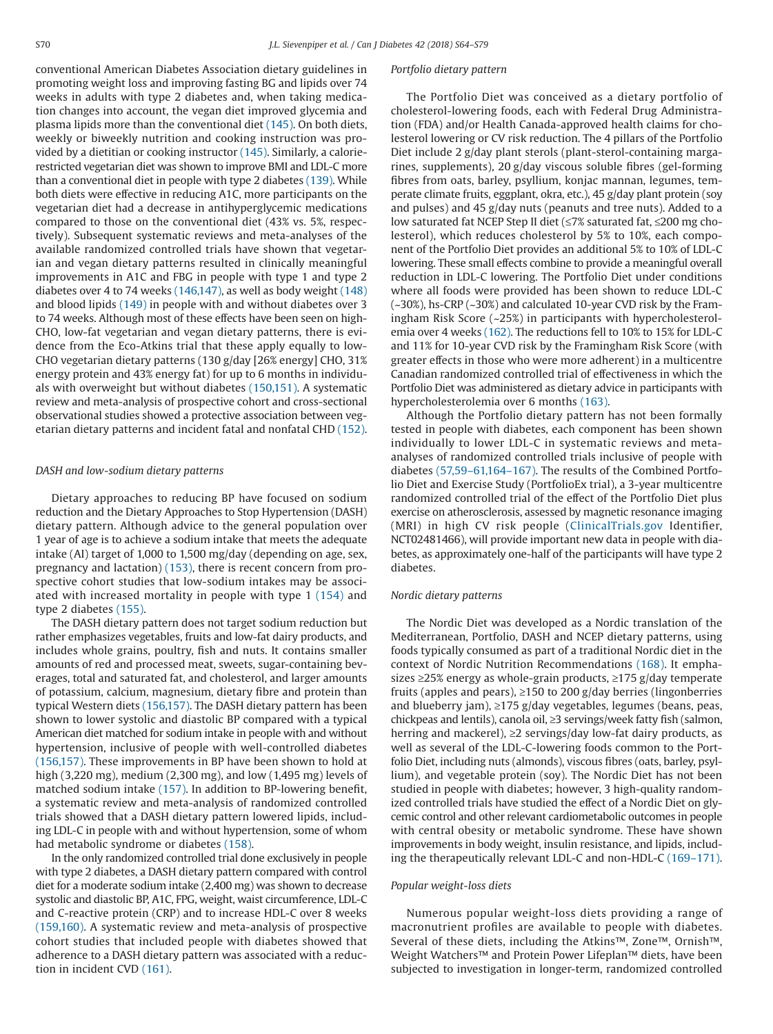conventional American Diabetes Association dietary guidelines in promoting weight loss and improving fasting BG and lipids over 74 weeks in adults with type 2 diabetes and, when taking medication changes into account, the vegan diet improved glycemia and plasma lipids more than the conventional diet (145). On both diets, weekly or biweekly nutrition and cooking instruction was provided by a dietitian or cooking instructor (145). Similarly, a calorierestricted vegetarian diet was shown to improve BMI and LDL-C more than a conventional diet in people with type 2 diabetes (139). While both diets were effective in reducing A1C, more participants on the vegetarian diet had a decrease in antihyperglycemic medications compared to those on the conventional diet (43% vs. 5%, respectively). Subsequent systematic reviews and meta-analyses of the available randomized controlled trials have shown that vegetarian and vegan dietary patterns resulted in clinically meaningful improvements in A1C and FBG in people with type 1 and type 2 diabetes over 4 to 74 weeks (146,147), as well as body weight (148) and blood lipids (149) in people with and without diabetes over 3 to 74 weeks. Although most of these effects have been seen on high-CHO, low-fat vegetarian and vegan dietary patterns, there is evidence from the Eco-Atkins trial that these apply equally to low-CHO vegetarian dietary patterns (130 g/day [26% energy] CHO, 31% energy protein and 43% energy fat) for up to 6 months in individuals with overweight but without diabetes (150,151). A systematic review and meta-analysis of prospective cohort and cross-sectional observational studies showed a protective association between vegetarian dietary patterns and incident fatal and nonfatal CHD (152).

#### *DASH and low-sodium dietary patterns*

Dietary approaches to reducing BP have focused on sodium reduction and the Dietary Approaches to Stop Hypertension (DASH) dietary pattern. Although advice to the general population over 1 year of age is to achieve a sodium intake that meets the adequate intake (AI) target of 1,000 to 1,500 mg/day (depending on age, sex, pregnancy and lactation) (153), there is recent concern from prospective cohort studies that low-sodium intakes may be associated with increased mortality in people with type 1 (154) and type 2 diabetes (155).

The DASH dietary pattern does not target sodium reduction but rather emphasizes vegetables, fruits and low-fat dairy products, and includes whole grains, poultry, fish and nuts. It contains smaller amounts of red and processed meat, sweets, sugar-containing beverages, total and saturated fat, and cholesterol, and larger amounts of potassium, calcium, magnesium, dietary fibre and protein than typical Western diets (156,157). The DASH dietary pattern has been shown to lower systolic and diastolic BP compared with a typical American diet matched for sodium intake in people with and without hypertension, inclusive of people with well-controlled diabetes (156,157). These improvements in BP have been shown to hold at high (3,220 mg), medium (2,300 mg), and low (1,495 mg) levels of matched sodium intake (157). In addition to BP-lowering benefit, a systematic review and meta-analysis of randomized controlled trials showed that a DASH dietary pattern lowered lipids, including LDL-C in people with and without hypertension, some of whom had metabolic syndrome or diabetes (158).

In the only randomized controlled trial done exclusively in people with type 2 diabetes, a DASH dietary pattern compared with control diet for a moderate sodium intake (2,400 mg) was shown to decrease systolic and diastolic BP, A1C, FPG, weight, waist circumference, LDL-C and C-reactive protein (CRP) and to increase HDL-C over 8 weeks (159,160). A systematic review and meta-analysis of prospective cohort studies that included people with diabetes showed that adherence to a DASH dietary pattern was associated with a reduction in incident CVD (161).

#### *Portfolio dietary pattern*

The Portfolio Diet was conceived as a dietary portfolio of cholesterol-lowering foods, each with Federal Drug Administration (FDA) and/or Health Canada-approved health claims for cholesterol lowering or CV risk reduction. The 4 pillars of the Portfolio Diet include 2 g/day plant sterols (plant-sterol-containing margarines, supplements), 20 g/day viscous soluble fibres (gel-forming fibres from oats, barley, psyllium, konjac mannan, legumes, temperate climate fruits, eggplant, okra, etc.), 45 g/day plant protein (soy and pulses) and 45 g/day nuts (peanuts and tree nuts). Added to a low saturated fat NCEP Step II diet (≤7% saturated fat, ≤200 mg cholesterol), which reduces cholesterol by 5% to 10%, each component of the Portfolio Diet provides an additional 5% to 10% of LDL-C lowering. These small effects combine to provide a meaningful overall reduction in LDL-C lowering. The Portfolio Diet under conditions where all foods were provided has been shown to reduce LDL-C (~30%), hs-CRP (~30%) and calculated 10-year CVD risk by the Framingham Risk Score (~25%) in participants with hypercholesterolemia over 4 weeks (162). The reductions fell to 10% to 15% for LDL-C and 11% for 10-year CVD risk by the Framingham Risk Score (with greater effects in those who were more adherent) in a multicentre Canadian randomized controlled trial of effectiveness in which the Portfolio Diet was administered as dietary advice in participants with hypercholesterolemia over 6 months (163).

Although the Portfolio dietary pattern has not been formally tested in people with diabetes, each component has been shown individually to lower LDL-C in systematic reviews and metaanalyses of randomized controlled trials inclusive of people with diabetes (57,59–61,164–167). The results of the Combined Portfolio Diet and Exercise Study (PortfolioEx trial), a 3-year multicentre randomized controlled trial of the effect of the Portfolio Diet plus exercise on atherosclerosis, assessed by magnetic resonance imaging (MRI) in high CV risk people (ClinicalTrials.gov Identifier, NCT02481466), will provide important new data in people with diabetes, as approximately one-half of the participants will have type 2 diabetes.

## *Nordic dietary patterns*

The Nordic Diet was developed as a Nordic translation of the Mediterranean, Portfolio, DASH and NCEP dietary patterns, using foods typically consumed as part of a traditional Nordic diet in the context of Nordic Nutrition Recommendations (168). It emphasizes ≥25% energy as whole-grain products, ≥175 g/day temperate fruits (apples and pears),  $\geq$ 150 to 200 g/day berries (lingonberries and blueberry jam), ≥175 g/day vegetables, legumes (beans, peas, chickpeas and lentils), canola oil, ≥3 servings/week fatty fish (salmon, herring and mackerel), ≥2 servings/day low-fat dairy products, as well as several of the LDL-C-lowering foods common to the Portfolio Diet, including nuts (almonds), viscous fibres (oats, barley, psyllium), and vegetable protein (soy). The Nordic Diet has not been studied in people with diabetes; however, 3 high-quality randomized controlled trials have studied the effect of a Nordic Diet on glycemic control and other relevant cardiometabolic outcomes in people with central obesity or metabolic syndrome. These have shown improvements in body weight, insulin resistance, and lipids, including the therapeutically relevant LDL-C and non-HDL-C (169–171).

#### *Popular weight-loss diets*

Numerous popular weight-loss diets providing a range of macronutrient profiles are available to people with diabetes. Several of these diets, including the Atkins™, Zone™, Ornish™, Weight Watchers™ and Protein Power Lifeplan™ diets, have been subjected to investigation in longer-term, randomized controlled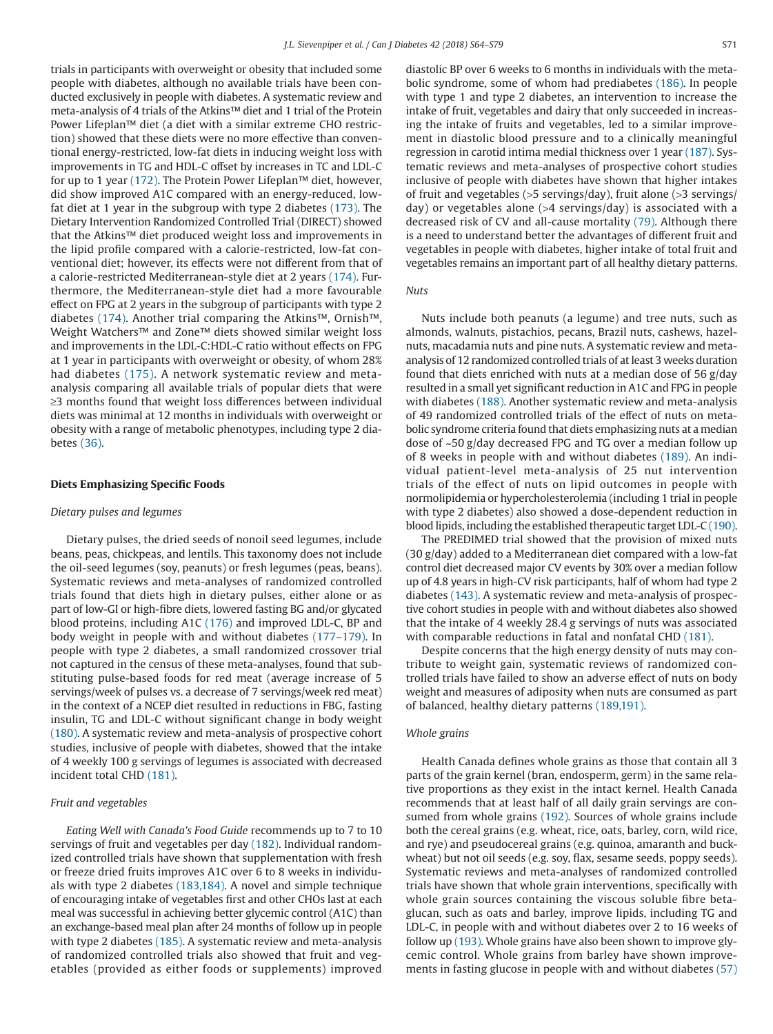trials in participants with overweight or obesity that included some people with diabetes, although no available trials have been conducted exclusively in people with diabetes. A systematic review and meta-analysis of 4 trials of the Atkins™ diet and 1 trial of the Protein Power Lifeplan™ diet (a diet with a similar extreme CHO restriction) showed that these diets were no more effective than conventional energy-restricted, low-fat diets in inducing weight loss with improvements in TG and HDL-C offset by increases in TC and LDL-C for up to 1 year (172). The Protein Power Lifeplan™ diet, however, did show improved A1C compared with an energy-reduced, lowfat diet at 1 year in the subgroup with type 2 diabetes (173). The Dietary Intervention Randomized Controlled Trial (DIRECT) showed that the Atkins™ diet produced weight loss and improvements in the lipid profile compared with a calorie-restricted, low-fat conventional diet; however, its effects were not different from that of a calorie-restricted Mediterranean-style diet at 2 years (174). Furthermore, the Mediterranean-style diet had a more favourable effect on FPG at 2 years in the subgroup of participants with type 2 diabetes (174). Another trial comparing the Atkins™, Ornish™, Weight Watchers™ and Zone™ diets showed similar weight loss and improvements in the LDL-C:HDL-C ratio without effects on FPG at 1 year in participants with overweight or obesity, of whom 28% had diabetes (175). A network systematic review and metaanalysis comparing all available trials of popular diets that were ≥3 months found that weight loss differences between individual diets was minimal at 12 months in individuals with overweight or obesity with a range of metabolic phenotypes, including type 2 diabetes (36).

#### **Diets Emphasizing Specific Foods**

#### *Dietary pulses and legumes*

Dietary pulses, the dried seeds of nonoil seed legumes, include beans, peas, chickpeas, and lentils. This taxonomy does not include the oil-seed legumes (soy, peanuts) or fresh legumes (peas, beans). Systematic reviews and meta-analyses of randomized controlled trials found that diets high in dietary pulses, either alone or as part of low-GI or high-fibre diets, lowered fasting BG and/or glycated blood proteins, including A1C (176) and improved LDL-C, BP and body weight in people with and without diabetes (177–179). In people with type 2 diabetes, a small randomized crossover trial not captured in the census of these meta-analyses, found that substituting pulse-based foods for red meat (average increase of 5 servings/week of pulses vs. a decrease of 7 servings/week red meat) in the context of a NCEP diet resulted in reductions in FBG, fasting insulin, TG and LDL-C without significant change in body weight (180). A systematic review and meta-analysis of prospective cohort studies, inclusive of people with diabetes, showed that the intake of 4 weekly 100 g servings of legumes is associated with decreased incident total CHD (181).

## *Fruit and vegetables*

*Eating Well with Canada's Food Guide* recommends up to 7 to 10 servings of fruit and vegetables per day (182). Individual randomized controlled trials have shown that supplementation with fresh or freeze dried fruits improves A1C over 6 to 8 weeks in individuals with type 2 diabetes (183,184). A novel and simple technique of encouraging intake of vegetables first and other CHOs last at each meal was successful in achieving better glycemic control (A1C) than an exchange-based meal plan after 24 months of follow up in people with type 2 diabetes (185). A systematic review and meta-analysis of randomized controlled trials also showed that fruit and vegetables (provided as either foods or supplements) improved diastolic BP over 6 weeks to 6 months in individuals with the metabolic syndrome, some of whom had prediabetes (186). In people with type 1 and type 2 diabetes, an intervention to increase the intake of fruit, vegetables and dairy that only succeeded in increasing the intake of fruits and vegetables, led to a similar improvement in diastolic blood pressure and to a clinically meaningful regression in carotid intima medial thickness over 1 year (187). Systematic reviews and meta-analyses of prospective cohort studies inclusive of people with diabetes have shown that higher intakes of fruit and vegetables (>5 servings/day), fruit alone (>3 servings/ day) or vegetables alone (>4 servings/day) is associated with a decreased risk of CV and all-cause mortality (79). Although there is a need to understand better the advantages of different fruit and vegetables in people with diabetes, higher intake of total fruit and vegetables remains an important part of all healthy dietary patterns.

#### *Nuts*

Nuts include both peanuts (a legume) and tree nuts, such as almonds, walnuts, pistachios, pecans, Brazil nuts, cashews, hazelnuts, macadamia nuts and pine nuts. A systematic review and metaanalysis of 12 randomized controlled trials of at least 3 weeks duration found that diets enriched with nuts at a median dose of 56 g/day resulted in a small yet significant reduction in A1C and FPG in people with diabetes (188). Another systematic review and meta-analysis of 49 randomized controlled trials of the effect of nuts on metabolic syndrome criteria found that diets emphasizing nuts at a median dose of ~50 g/day decreased FPG and TG over a median follow up of 8 weeks in people with and without diabetes (189). An individual patient-level meta-analysis of 25 nut intervention trials of the effect of nuts on lipid outcomes in people with normolipidemia or hypercholesterolemia (including 1 trial in people with type 2 diabetes) also showed a dose-dependent reduction in blood lipids, including the established therapeutic target LDL-C (190).

The PREDIMED trial showed that the provision of mixed nuts (30 g/day) added to a Mediterranean diet compared with a low-fat control diet decreased major CV events by 30% over a median follow up of 4.8 years in high-CV risk participants, half of whom had type 2 diabetes (143). A systematic review and meta-analysis of prospective cohort studies in people with and without diabetes also showed that the intake of 4 weekly 28.4 g servings of nuts was associated with comparable reductions in fatal and nonfatal CHD (181).

Despite concerns that the high energy density of nuts may contribute to weight gain, systematic reviews of randomized controlled trials have failed to show an adverse effect of nuts on body weight and measures of adiposity when nuts are consumed as part of balanced, healthy dietary patterns (189,191).

## *Whole grains*

Health Canada defines whole grains as those that contain all 3 parts of the grain kernel (bran, endosperm, germ) in the same relative proportions as they exist in the intact kernel. Health Canada recommends that at least half of all daily grain servings are consumed from whole grains (192). Sources of whole grains include both the cereal grains (e.g. wheat, rice, oats, barley, corn, wild rice, and rye) and pseudocereal grains (e.g. quinoa, amaranth and buckwheat) but not oil seeds (e.g. soy, flax, sesame seeds, poppy seeds). Systematic reviews and meta-analyses of randomized controlled trials have shown that whole grain interventions, specifically with whole grain sources containing the viscous soluble fibre betaglucan, such as oats and barley, improve lipids, including TG and LDL-C, in people with and without diabetes over 2 to 16 weeks of follow up (193). Whole grains have also been shown to improve glycemic control. Whole grains from barley have shown improvements in fasting glucose in people with and without diabetes (57)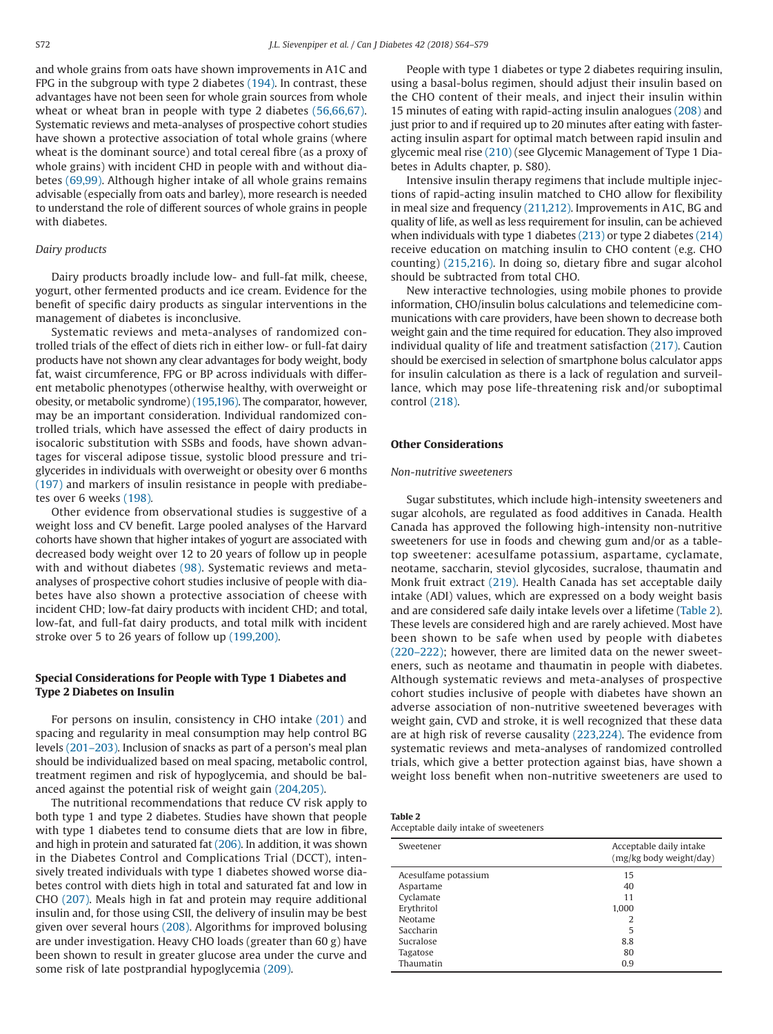and whole grains from oats have shown improvements in A1C and FPG in the subgroup with type 2 diabetes (194). In contrast, these advantages have not been seen for whole grain sources from whole wheat or wheat bran in people with type 2 diabetes (56,66,67). Systematic reviews and meta-analyses of prospective cohort studies have shown a protective association of total whole grains (where wheat is the dominant source) and total cereal fibre (as a proxy of whole grains) with incident CHD in people with and without diabetes (69,99). Although higher intake of all whole grains remains advisable (especially from oats and barley), more research is needed to understand the role of different sources of whole grains in people with diabetes.

## *Dairy products*

Dairy products broadly include low- and full-fat milk, cheese, yogurt, other fermented products and ice cream. Evidence for the benefit of specific dairy products as singular interventions in the management of diabetes is inconclusive.

Systematic reviews and meta-analyses of randomized controlled trials of the effect of diets rich in either low- or full-fat dairy products have not shown any clear advantages for body weight, body fat, waist circumference, FPG or BP across individuals with different metabolic phenotypes (otherwise healthy, with overweight or obesity, or metabolic syndrome) (195,196). The comparator, however, may be an important consideration. Individual randomized controlled trials, which have assessed the effect of dairy products in isocaloric substitution with SSBs and foods, have shown advantages for visceral adipose tissue, systolic blood pressure and triglycerides in individuals with overweight or obesity over 6 months (197) and markers of insulin resistance in people with prediabetes over 6 weeks (198)*.*

Other evidence from observational studies is suggestive of a weight loss and CV benefit. Large pooled analyses of the Harvard cohorts have shown that higher intakes of yogurt are associated with decreased body weight over 12 to 20 years of follow up in people with and without diabetes (98). Systematic reviews and metaanalyses of prospective cohort studies inclusive of people with diabetes have also shown a protective association of cheese with incident CHD; low-fat dairy products with incident CHD; and total, low-fat, and full-fat dairy products, and total milk with incident stroke over 5 to 26 years of follow up (199,200).

## **Special Considerations for People with Type 1 Diabetes and Type 2 Diabetes on Insulin**

For persons on insulin, consistency in CHO intake (201) and spacing and regularity in meal consumption may help control BG levels (201–203). Inclusion of snacks as part of a person's meal plan should be individualized based on meal spacing, metabolic control, treatment regimen and risk of hypoglycemia, and should be balanced against the potential risk of weight gain (204,205).

The nutritional recommendations that reduce CV risk apply to both type 1 and type 2 diabetes. Studies have shown that people with type 1 diabetes tend to consume diets that are low in fibre, and high in protein and saturated fat (206). In addition, it was shown in the Diabetes Control and Complications Trial (DCCT), intensively treated individuals with type 1 diabetes showed worse diabetes control with diets high in total and saturated fat and low in CHO (207). Meals high in fat and protein may require additional insulin and, for those using CSII, the delivery of insulin may be best given over several hours (208). Algorithms for improved bolusing are under investigation. Heavy CHO loads (greater than 60 g) have been shown to result in greater glucose area under the curve and some risk of late postprandial hypoglycemia (209).

People with type 1 diabetes or type 2 diabetes requiring insulin, using a basal-bolus regimen, should adjust their insulin based on the CHO content of their meals, and inject their insulin within 15 minutes of eating with rapid-acting insulin analogues (208) and just prior to and if required up to 20 minutes after eating with fasteracting insulin aspart for optimal match between rapid insulin and glycemic meal rise (210) (see Glycemic Management of Type 1 Diabetes in Adults chapter, p. S80).

Intensive insulin therapy regimens that include multiple injections of rapid-acting insulin matched to CHO allow for flexibility in meal size and frequency (211,212). Improvements in A1C, BG and quality of life, as well as less requirement for insulin, can be achieved when individuals with type 1 diabetes (213) or type 2 diabetes (214) receive education on matching insulin to CHO content (e.g. CHO counting) (215,216). In doing so, dietary fibre and sugar alcohol should be subtracted from total CHO.

New interactive technologies, using mobile phones to provide information, CHO/insulin bolus calculations and telemedicine communications with care providers, have been shown to decrease both weight gain and the time required for education. They also improved individual quality of life and treatment satisfaction (217). Caution should be exercised in selection of smartphone bolus calculator apps for insulin calculation as there is a lack of regulation and surveillance, which may pose life-threatening risk and/or suboptimal control (218).

## **Other Considerations**

## *Non-nutritive sweeteners*

Sugar substitutes, which include high-intensity sweeteners and sugar alcohols, are regulated as food additives in Canada. Health Canada has approved the following high-intensity non-nutritive sweeteners for use in foods and chewing gum and/or as a tabletop sweetener: acesulfame potassium, aspartame, cyclamate, neotame, saccharin, steviol glycosides, sucralose, thaumatin and Monk fruit extract (219). Health Canada has set acceptable daily intake (ADI) values, which are expressed on a body weight basis and are considered safe daily intake levels over a lifetime (Table 2). These levels are considered high and are rarely achieved. Most have been shown to be safe when used by people with diabetes (220–222); however, there are limited data on the newer sweeteners, such as neotame and thaumatin in people with diabetes. Although systematic reviews and meta-analyses of prospective cohort studies inclusive of people with diabetes have shown an adverse association of non-nutritive sweetened beverages with weight gain, CVD and stroke, it is well recognized that these data are at high risk of reverse causality (223,224). The evidence from systematic reviews and meta-analyses of randomized controlled trials, which give a better protection against bias, have shown a weight loss benefit when non-nutritive sweeteners are used to

| Table 2 |  |                                       |
|---------|--|---------------------------------------|
|         |  | Acceptable daily intake of sweeteners |

| Sweetener            | Acceptable daily intake<br>(mg/kg body weight/day) |
|----------------------|----------------------------------------------------|
| Acesulfame potassium | 15                                                 |
| Aspartame            | 40                                                 |
| Cyclamate            | 11                                                 |
| Erythritol           | 1.000                                              |
| Neotame              | 2                                                  |
| Saccharin            | 5                                                  |
| Sucralose            | 8.8                                                |
| Tagatose             | 80                                                 |
| Thaumatin            | 0.9                                                |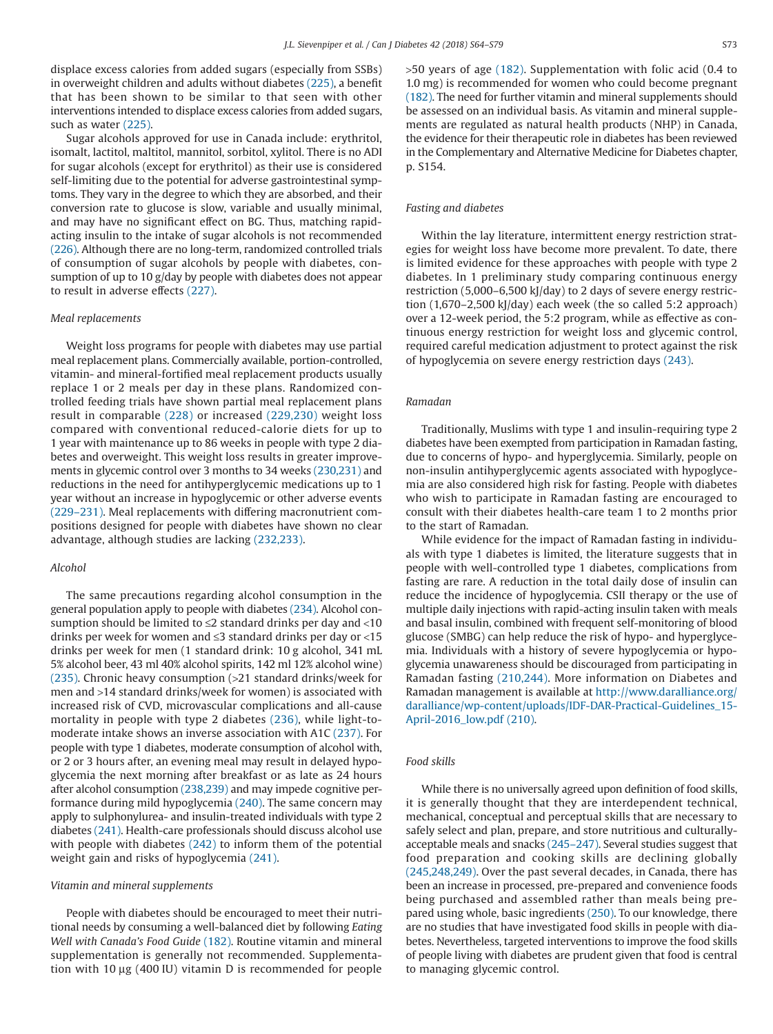displace excess calories from added sugars (especially from SSBs) in overweight children and adults without diabetes (225), a benefit that has been shown to be similar to that seen with other interventions intended to displace excess calories from added sugars, such as water (225).

Sugar alcohols approved for use in Canada include: erythritol, isomalt, lactitol, maltitol, mannitol, sorbitol, xylitol. There is no ADI for sugar alcohols (except for erythritol) as their use is considered self-limiting due to the potential for adverse gastrointestinal symptoms. They vary in the degree to which they are absorbed, and their conversion rate to glucose is slow, variable and usually minimal, and may have no significant effect on BG. Thus, matching rapidacting insulin to the intake of sugar alcohols is not recommended (226). Although there are no long-term, randomized controlled trials of consumption of sugar alcohols by people with diabetes, consumption of up to 10 g/day by people with diabetes does not appear to result in adverse effects (227).

#### *Meal replacements*

Weight loss programs for people with diabetes may use partial meal replacement plans. Commercially available, portion-controlled, vitamin- and mineral-fortified meal replacement products usually replace 1 or 2 meals per day in these plans. Randomized controlled feeding trials have shown partial meal replacement plans result in comparable (228) or increased (229,230) weight loss compared with conventional reduced-calorie diets for up to 1 year with maintenance up to 86 weeks in people with type 2 diabetes and overweight. This weight loss results in greater improvements in glycemic control over 3 months to 34 weeks (230,231) and reductions in the need for antihyperglycemic medications up to 1 year without an increase in hypoglycemic or other adverse events (229–231). Meal replacements with differing macronutrient compositions designed for people with diabetes have shown no clear advantage, although studies are lacking (232,233).

### *Alcohol*

The same precautions regarding alcohol consumption in the general population apply to people with diabetes (234). Alcohol consumption should be limited to ≤2 standard drinks per day and <10 drinks per week for women and ≤3 standard drinks per day or <15 drinks per week for men (1 standard drink: 10 g alcohol, 341 mL 5% alcohol beer, 43 ml 40% alcohol spirits, 142 ml 12% alcohol wine) (235). Chronic heavy consumption (>21 standard drinks/week for men and >14 standard drinks/week for women) is associated with increased risk of CVD, microvascular complications and all-cause mortality in people with type 2 diabetes (236), while light-tomoderate intake shows an inverse association with A1C (237). For people with type 1 diabetes, moderate consumption of alcohol with, or 2 or 3 hours after, an evening meal may result in delayed hypoglycemia the next morning after breakfast or as late as 24 hours after alcohol consumption (238,239) and may impede cognitive performance during mild hypoglycemia (240). The same concern may apply to sulphonylurea- and insulin-treated individuals with type 2 diabetes (241). Health-care professionals should discuss alcohol use with people with diabetes (242) to inform them of the potential weight gain and risks of hypoglycemia (241).

#### *Vitamin and mineral supplements*

People with diabetes should be encouraged to meet their nutritional needs by consuming a well-balanced diet by following *Eating Well with Canada's Food Guide* (182). Routine vitamin and mineral supplementation is generally not recommended. Supplementation with 10 μg (400 IU) vitamin D is recommended for people

>50 years of age (182). Supplementation with folic acid (0.4 to 1.0 mg) is recommended for women who could become pregnant (182). The need for further vitamin and mineral supplements should be assessed on an individual basis. As vitamin and mineral supplements are regulated as natural health products (NHP) in Canada, the evidence for their therapeutic role in diabetes has been reviewed in the Complementary and Alternative Medicine for Diabetes chapter, p. S154.

#### *Fasting and diabetes*

Within the lay literature, intermittent energy restriction strategies for weight loss have become more prevalent. To date, there is limited evidence for these approaches with people with type 2 diabetes. In 1 preliminary study comparing continuous energy restriction (5,000–6,500 kJ/day) to 2 days of severe energy restriction (1,670–2,500 kJ/day) each week (the so called 5:2 approach) over a 12-week period, the 5:2 program, while as effective as continuous energy restriction for weight loss and glycemic control, required careful medication adjustment to protect against the risk of hypoglycemia on severe energy restriction days (243).

#### *Ramadan*

Traditionally, Muslims with type 1 and insulin-requiring type 2 diabetes have been exempted from participation in Ramadan fasting, due to concerns of hypo- and hyperglycemia. Similarly, people on non-insulin antihyperglycemic agents associated with hypoglycemia are also considered high risk for fasting. People with diabetes who wish to participate in Ramadan fasting are encouraged to consult with their diabetes health-care team 1 to 2 months prior to the start of Ramadan.

While evidence for the impact of Ramadan fasting in individuals with type 1 diabetes is limited, the literature suggests that in people with well-controlled type 1 diabetes, complications from fasting are rare. A reduction in the total daily dose of insulin can reduce the incidence of hypoglycemia. CSII therapy or the use of multiple daily injections with rapid-acting insulin taken with meals and basal insulin, combined with frequent self-monitoring of blood glucose (SMBG) can help reduce the risk of hypo- and hyperglycemia. Individuals with a history of severe hypoglycemia or hypoglycemia unawareness should be discouraged from participating in Ramadan fasting (210,244). More information on Diabetes and Ramadan management is available at http://www.daralliance.org/ daralliance/wp-content/uploads/IDF-DAR-Practical-Guidelines\_15- April-2016\_low.pdf (210).

## *Food skills*

While there is no universally agreed upon definition of food skills, it is generally thought that they are interdependent technical, mechanical, conceptual and perceptual skills that are necessary to safely select and plan, prepare, and store nutritious and culturallyacceptable meals and snacks (245–247). Several studies suggest that food preparation and cooking skills are declining globally (245,248,249). Over the past several decades, in Canada, there has been an increase in processed, pre-prepared and convenience foods being purchased and assembled rather than meals being prepared using whole, basic ingredients (250). To our knowledge, there are no studies that have investigated food skills in people with diabetes. Nevertheless, targeted interventions to improve the food skills of people living with diabetes are prudent given that food is central to managing glycemic control.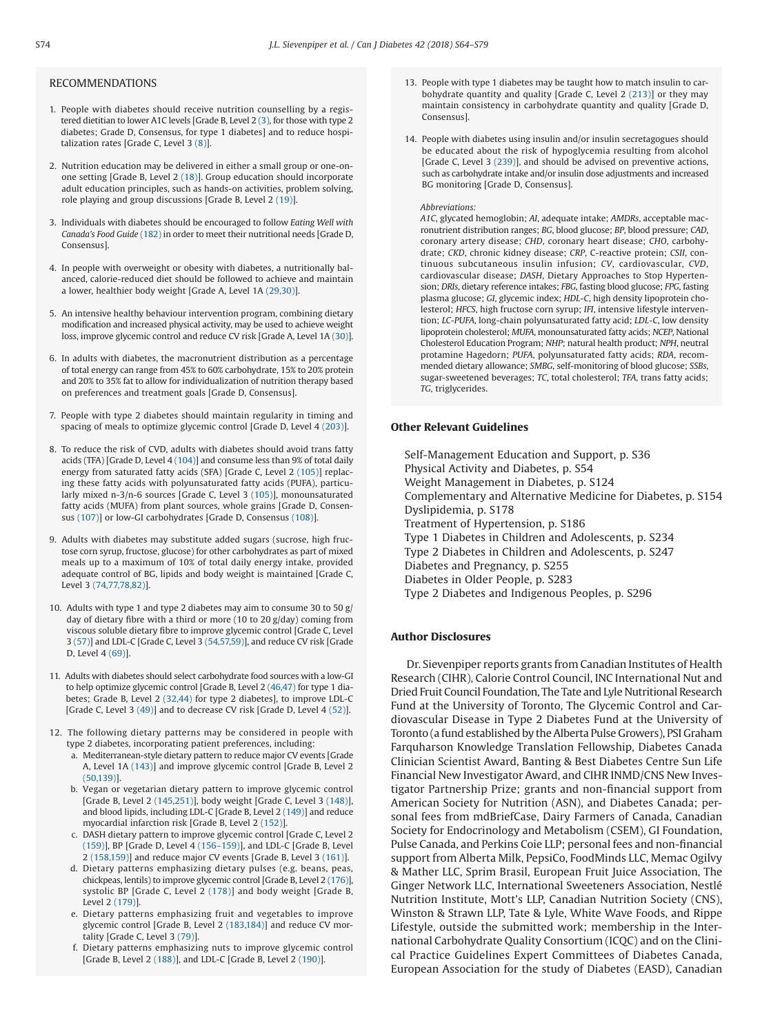### RECOMMENDATIONS

- 1. People with diabetes should receive nutrition counselling by a registered dietitian to lower A1C levels [Grade B, Level 2 (3), for those with type 2 diabetes; Grade D, Consensus, for type 1 diabetes] and to reduce hospitalization rates [Grade C, Level 3 (8)].
- 2. Nutrition education may be delivered in either a small group or one-onone setting [Grade B, Level 2 (18)]. Group education should incorporate adult education principles, such as hands-on activities, problem solving, role playing and group discussions [Grade B, Level 2 (19)].
- 3. Individuals with diabetes should be encouraged to follow *Eating Well with Canada's Food Guide* (182) in order to meet their nutritional needs [Grade D, Consensus].
- 4. In people with overweight or obesity with diabetes, a nutritionally balanced, calorie-reduced diet should be followed to achieve and maintain a lower, healthier body weight [Grade A, Level 1A (29,30)].
- 5. An intensive healthy behaviour intervention program, combining dietary modification and increased physical activity, may be used to achieve weight loss, improve glycemic control and reduce CV risk [Grade A, Level 1A (30)].
- 6. In adults with diabetes, the macronutrient distribution as a percentage of total energy can range from 45% to 60% carbohydrate, 15% to 20% protein and 20% to 35% fat to allow for individualization of nutrition therapy based on preferences and treatment goals [Grade D, Consensus].
- 7. People with type 2 diabetes should maintain regularity in timing and spacing of meals to optimize glycemic control [Grade D, Level 4 (203)].
- 8. To reduce the risk of CVD, adults with diabetes should avoid trans fatty acids (TFA) [Grade D, Level 4 (104)] and consume less than 9% of total daily energy from saturated fatty acids (SFA) [Grade C, Level 2 (105)] replacing these fatty acids with polyunsaturated fatty acids (PUFA), particularly mixed n-3/n-6 sources [Grade C, Level 3 (105)], monounsaturated fatty acids (MUFA) from plant sources, whole grains [Grade D, Consensus (107)] or low-GI carbohydrates [Grade D, Consensus (108)].
- 9. Adults with diabetes may substitute added sugars (sucrose, high fructose corn syrup, fructose, glucose) for other carbohydrates as part of mixed meals up to a maximum of 10% of total daily energy intake, provided adequate control of BG, lipids and body weight is maintained [Grade C, Level 3 (74,77,78,82)].
- 10. Adults with type 1 and type 2 diabetes may aim to consume 30 to 50 g/ day of dietary fibre with a third or more (10 to 20 g/day) coming from viscous soluble dietary fibre to improve glycemic control [Grade C, Level 3 (57)] and LDL-C [Grade C, Level 3 (54,57,59)], and reduce CV risk [Grade D, Level 4 (69)].
- 11. Adults with diabetes should select carbohydrate food sources with a low-GI to help optimize glycemic control [Grade B, Level 2 (46,47) for type 1 diabetes; Grade B, Level 2 (32,44) for type 2 diabetes], to improve LDL-C [Grade C, Level 3 (49)] and to decrease CV risk [Grade D, Level 4 (52)].
- 12. The following dietary patterns may be considered in people with type 2 diabetes, incorporating patient preferences, including:
	- a. Mediterranean-style dietary pattern to reduce major CV events [Grade A, Level 1A (143)] and improve glycemic control [Grade B, Level 2 (50,139)].
	- b. Vegan or vegetarian dietary pattern to improve glycemic control [Grade B, Level 2 (145,251)], body weight [Grade C, Level 3 (148)], and blood lipids, including LDL-C [Grade B, Level 2 (149)] and reduce myocardial infarction risk [Grade B, Level 2 (152)].
	- c. DASH dietary pattern to improve glycemic control [Grade C, Level 2 (159)], BP [Grade D, Level 4 (156–159)], and LDL-C [Grade B, Level 2 (158,159)] and reduce major CV events [Grade B, Level 3 (161)].
	- d. Dietary patterns emphasizing dietary pulses (e.g. beans, peas, chickpeas, lentils) to improve glycemic control [Grade B, Level 2 (176)], systolic BP [Grade C, Level 2 (178)] and body weight [Grade B, Level 2 (179)].
	- e. Dietary patterns emphasizing fruit and vegetables to improve glycemic control [Grade B, Level 2 (183,184)] and reduce CV mortality [Grade C, Level 3 (79)].
	- f. Dietary patterns emphasizing nuts to improve glycemic control [Grade B, Level 2 (188)], and LDL-C [Grade B, Level 2 (190)].
- 13. People with type 1 diabetes may be taught how to match insulin to carbohydrate quantity and quality [Grade C, Level 2 (213)] or they may maintain consistency in carbohydrate quantity and quality [Grade D, Consensus].
- 14. People with diabetes using insulin and/or insulin secretagogues should be educated about the risk of hypoglycemia resulting from alcohol [Grade C, Level 3 (239)], and should be advised on preventive actions, such as carbohydrate intake and/or insulin dose adjustments and increased BG monitoring [Grade D, Consensus].

#### *Abbreviations:*

*A1C*, glycated hemoglobin; *AI*, adequate intake; *AMDRs*, acceptable macronutrient distribution ranges; *BG*, blood glucose; *BP*, blood pressure; *CAD*, coronary artery disease; *CHD*, coronary heart disease; *CHO*, carbohydrate; *CKD*, chronic kidney disease; *CRP*, C-reactive protein; *CSII*, continuous subcutaneous insulin infusion; *CV*, cardiovascular, *CVD*, cardiovascular disease; *DASH*, Dietary Approaches to Stop Hypertension; *DRIs*, dietary reference intakes; *FBG*, fasting blood glucose; *FPG*, fasting plasma glucose; *GI*, glycemic index; *HDL-C*, high density lipoprotein cholesterol; *HFCS*, high fructose corn syrup; *IFI*, intensive lifestyle intervention; *LC-PUFA*, long-chain polyunsaturated fatty acid; *LDL-C*, low density lipoprotein cholesterol; *MUFA*, monounsaturated fatty acids; *NCEP*, National Cholesterol Education Program; *NHP*; natural health product; *NPH*, neutral protamine Hagedorn; *PUFA*, polyunsaturated fatty acids; *RDA*, recommended dietary allowance; *SMBG*, self-monitoring of blood glucose; *SSBs*, sugar-sweetened beverages; *TC*, total cholesterol; *TFA*, trans fatty acids; *TG*, triglycerides.

## **Other Relevant Guidelines**

Self-Management Education and Support, p. S36 Physical Activity and Diabetes, p. S54 Weight Management in Diabetes, p. S124 Complementary and Alternative Medicine for Diabetes, p. S154 Dyslipidemia, p. S178 Treatment of Hypertension, p. S186 Type 1 Diabetes in Children and Adolescents, p. S234 Type 2 Diabetes in Children and Adolescents, p. S247 Diabetes and Pregnancy, p. S255 Diabetes in Older People, p. S283 Type 2 Diabetes and Indigenous Peoples, p. S296

## **Author Disclosures**

Dr. Sievenpiper reports grants from Canadian Institutes of Health Research (CIHR), Calorie Control Council, INC International Nut and Dried Fruit Council Foundation, The Tate and Lyle Nutritional Research Fund at the University of Toronto, The Glycemic Control and Cardiovascular Disease in Type 2 Diabetes Fund at the University of Toronto (a fund established by the Alberta Pulse Growers), PSI Graham Farquharson Knowledge Translation Fellowship, Diabetes Canada Clinician Scientist Award, Banting & Best Diabetes Centre Sun Life Financial New Investigator Award, and CIHR INMD/CNS New Investigator Partnership Prize; grants and non-financial support from American Society for Nutrition (ASN), and Diabetes Canada; personal fees from mdBriefCase, Dairy Farmers of Canada, Canadian Society for Endocrinology and Metabolism (CSEM), GI Foundation, Pulse Canada, and Perkins Coie LLP; personal fees and non-financial support from Alberta Milk, PepsiCo, FoodMinds LLC, Memac Ogilvy & Mather LLC, Sprim Brasil, European Fruit Juice Association, The Ginger Network LLC, International Sweeteners Association, Nestlé Nutrition Institute, Mott's LLP, Canadian Nutrition Society (CNS), Winston & Strawn LLP, Tate & Lyle, White Wave Foods, and Rippe Lifestyle, outside the submitted work; membership in the International Carbohydrate Quality Consortium (ICQC) and on the Clinical Practice Guidelines Expert Committees of Diabetes Canada, European Association for the study of Diabetes (EASD), Canadian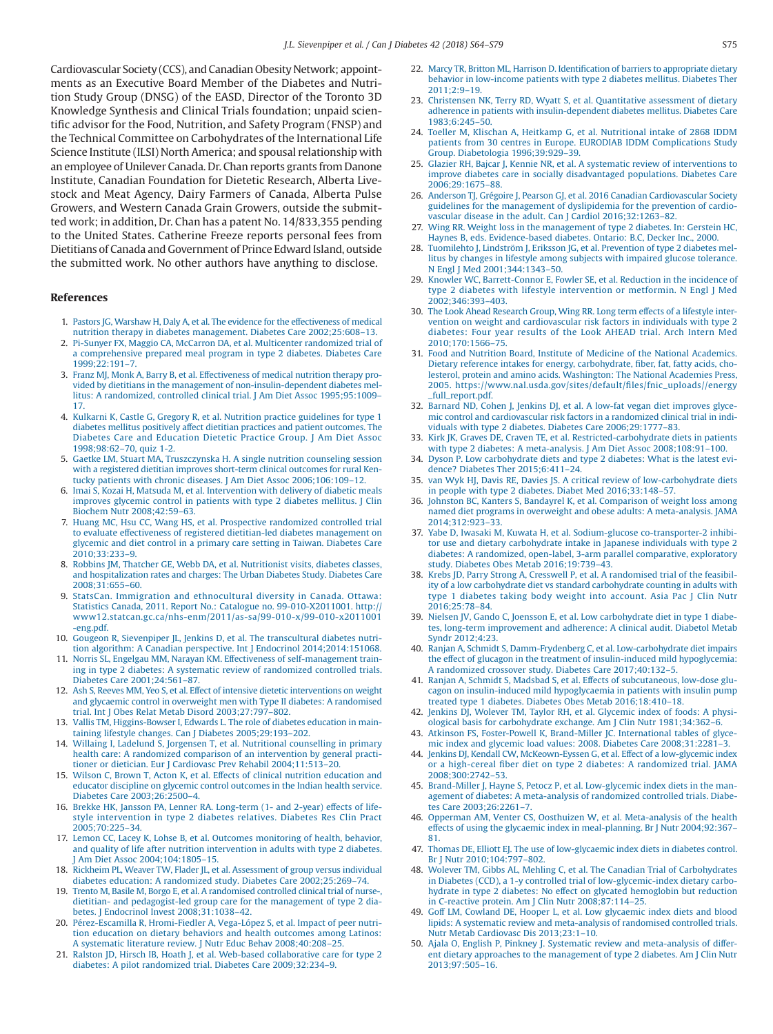Cardiovascular Society (CCS), and Canadian Obesity Network; appointments as an Executive Board Member of the Diabetes and Nutrition Study Group (DNSG) of the EASD, Director of the Toronto 3D Knowledge Synthesis and Clinical Trials foundation; unpaid scientific advisor for the Food, Nutrition, and Safety Program (FNSP) and the Technical Committee on Carbohydrates of the International Life Science Institute (ILSI) North America; and spousal relationship with an employee of Unilever Canada. Dr. Chan reports grants from Danone Institute, Canadian Foundation for Dietetic Research, Alberta Livestock and Meat Agency, Dairy Farmers of Canada, Alberta Pulse Growers, and Western Canada Grain Growers, outside the submitted work; in addition, Dr. Chan has a patent No. 14/833,355 pending to the United States. Catherine Freeze reports personal fees from Dietitians of Canada and Government of Prince Edward Island, outside the submitted work. No other authors have anything to disclose.

## **References**

- 1. Pastors JG, Warshaw H, Daly A, et al. The evidence for the effectiveness of medical nutrition therapy in diabetes management. Diabetes Care 2002;25:608–13.
- 2. Pi-Sunyer FX, Maggio CA, McCarron DA, et al. Multicenter randomized trial of a comprehensive prepared meal program in type 2 diabetes. Diabetes Care 1999;22:191–7.
- 3. Franz MJ, Monk A, Barry B, et al. Effectiveness of medical nutrition therapy provided by dietitians in the management of non-insulin-dependent diabetes mellitus: A randomized, controlled clinical trial. J Am Diet Assoc 1995;95:1009– 17.
- 4. Kulkarni K, Castle G, Gregory R, et al. Nutrition practice guidelines for type 1 diabetes mellitus positively affect dietitian practices and patient outcomes. The Diabetes Care and Education Dietetic Practice Group. J Am Diet Assoc 1998;98:62–70, quiz 1-2.
- 5. Gaetke LM, Stuart MA, Truszczynska H. A single nutrition counseling session with a registered dietitian improves short-term clinical outcomes for rural Kentucky patients with chronic diseases. J Am Diet Assoc 2006;106:109–12.
- 6. Imai S, Kozai H, Matsuda M, et al. Intervention with delivery of diabetic meals improves glycemic control in patients with type 2 diabetes mellitus. J Clin Biochem Nutr 2008;42:59–63.
- 7. Huang MC, Hsu CC, Wang HS, et al. Prospective randomized controlled trial to evaluate effectiveness of registered dietitian-led diabetes management on glycemic and diet control in a primary care setting in Taiwan. Diabetes Care 2010;33:233–9.
- 8. Robbins JM, Thatcher GE, Webb DA, et al. Nutritionist visits, diabetes classes, and hospitalization rates and charges: The Urban Diabetes Study. Diabetes Care 2008;31:655–60.
- 9. StatsCan. Immigration and ethnocultural diversity in Canada. Ottawa: Statistics Canada, 2011. Report No.: Catalogue no. 99-010-X2011001. http:// www12.statcan.gc.ca/nhs-enm/2011/as-sa/99-010-x/99-010-x2011001 -eng.pdf.
- 10. Gougeon R, Sievenpiper JL, Jenkins D, et al. The transcultural diabetes nutrition algorithm: A Canadian perspective. Int J Endocrinol 2014;2014:151068.
- 11. Norris SL, Engelgau MM, Narayan KM. Effectiveness of self-management training in type 2 diabetes: A systematic review of randomized controlled trials. Diabetes Care 2001;24:561–87.
- 12. Ash S, Reeves MM, Yeo S, et al. Effect of intensive dietetic interventions on weight and glycaemic control in overweight men with Type II diabetes: A randomised trial. Int J Obes Relat Metab Disord 2003;27:797–802.
- Vallis TM, Higgins-Bowser I, Edwards L. The role of diabetes education in maintaining lifestyle changes. Can J Diabetes 2005;29:193–202.
- 14. Willaing I, Ladelund S, Jorgensen T, et al. Nutritional counselling in primary health care: A randomized comparison of an intervention by general practitioner or dietician. Eur J Cardiovasc Prev Rehabil 2004;11:513–20.
- 15. Wilson C, Brown T, Acton K, et al. Effects of clinical nutrition education and educator discipline on glycemic control outcomes in the Indian health service. Diabetes Care 2003;26:2500–4.
- 16. Brekke HK, Jansson PA, Lenner RA. Long-term (1- and 2-year) effects of lifestyle intervention in type 2 diabetes relatives. Diabetes Res Clin Pract 2005;70:225–34.
- 17. Lemon CC, Lacey K, Lohse B, et al. Outcomes monitoring of health, behavior, and quality of life after nutrition intervention in adults with type 2 diabetes. J Am Diet Assoc 2004;104:1805–15.
- 18. Rickheim PL, Weaver TW, Flader JL, et al. Assessment of group versus individual diabetes education: A randomized study. Diabetes Care 2002;25:269–74.
- 19. Trento M, Basile M, Borgo E, et al. A randomised controlled clinical trial of nurse-, dietitian- and pedagogist-led group care for the management of type 2 diabetes. J Endocrinol Invest 2008;31:1038–42.
- 20. Pérez-Escamilla R, Hromi-Fiedler A, Vega-López S, et al. Impact of peer nutrition education on dietary behaviors and health outcomes among Latinos: A systematic literature review. J Nutr Educ Behav 2008;40:208–25.
- 21. Ralston JD, Hirsch IB, Hoath J, et al. Web-based collaborative care for type 2 diabetes: A pilot randomized trial. Diabetes Care 2009;32:234–9.
- 22. Marcy TR, Britton ML, Harrison D. Identification of barriers to appropriate dietary behavior in low-income patients with type 2 diabetes mellitus. Diabetes Ther  $2011:2:9-19$
- 23. Christensen NK, Terry RD, Wyatt S, et al. Quantitative assessment of dietary adherence in patients with insulin-dependent diabetes mellitus. Diabetes Care 1983;6:245–50.
- 24. Toeller M, Klischan A, Heitkamp G, et al. Nutritional intake of 2868 IDDM patients from 30 centres in Europe. EURODIAB IDDM Complications Study Group. Diabetologia 1996;39:929–39.
- 25. Glazier RH, Bajcar J, Kennie NR, et al. A systematic review of interventions to improve diabetes care in socially disadvantaged populations. Diabetes Care 2006;29:1675–88.
- 26. Anderson TJ, Grégoire J, Pearson GJ, et al. 2016 Canadian Cardiovascular Society guidelines for the management of dyslipidemia for the prevention of cardiovascular disease in the adult. Can J Cardiol 2016;32:1263–82.
- 27. Wing RR. Weight loss in the management of type 2 diabetes. In: Gerstein HC, Haynes B, eds. Evidence-based diabetes. Ontario: B.C, Decker Inc., 2000.
- 28. Tuomilehto J, Lindström J, Eriksson JG, et al. Prevention of type 2 diabetes mellitus by changes in lifestyle among subjects with impaired glucose tolerance. N Engl J Med 2001;344:1343–50.
- 29. Knowler WC, Barrett-Connor E, Fowler SE, et al. Reduction in the incidence of type 2 diabetes with lifestyle intervention or metformin. N Engl J Med 2002;346:393–403.
- 30. The Look Ahead Research Group, Wing RR. Long term effects of a lifestyle intervention on weight and cardiovascular risk factors in individuals with type 2 diabetes: Four year results of the Look AHEAD trial. Arch Intern Med 2010;170:1566–75.
- 31. Food and Nutrition Board, Institute of Medicine of the National Academics. Dietary reference intakes for energy, carbohydrate, fiber, fat, fatty acids, cholesterol, protein and amino acids. Washington: The National Academies Press, 2005. https://www.nal.usda.gov/sites/default/files/fnic\_uploads//energy \_full\_report.pdf.
- 32. Barnard ND, Cohen J, Jenkins DJ, et al. A low-fat vegan diet improves glycemic control and cardiovascular risk factors in a randomized clinical trial in individuals with type 2 diabetes. Diabetes Care 2006;29:1777–83.
- 33. Kirk JK, Graves DE, Craven TE, et al. Restricted-carbohydrate diets in patients with type 2 diabetes: A meta-analysis. J Am Diet Assoc 2008;108:91–100.
- 34. Dyson P. Low carbohydrate diets and type 2 diabetes: What is the latest evidence? Diabetes Ther 2015;6:411–24.
- 35. van Wyk HJ, Davis RE, Davies JS. A critical review of low-carbohydrate diets in people with type 2 diabetes. Diabet Med 2016;33:148–57.
- 36. Johnston BC, Kanters S, Bandayrel K, et al. Comparison of weight loss among named diet programs in overweight and obese adults: A meta-analysis. JAMA 2014;312:923–33.
- 37. Yabe D, Iwasaki M, Kuwata H, et al. Sodium-glucose co-transporter-2 inhibitor use and dietary carbohydrate intake in Japanese individuals with type 2 diabetes: A randomized, open-label, 3-arm parallel comparative, exploratory study. Diabetes Obes Metab 2016;19:739–43.
- 38. Krebs JD, Parry Strong A, Cresswell P, et al. A randomised trial of the feasibility of a low carbohydrate diet vs standard carbohydrate counting in adults with type 1 diabetes taking body weight into account. Asia Pac J Clin Nutr 2016;25:78–84.
- 39. Nielsen JV, Gando C, Joensson E, et al. Low carbohydrate diet in type 1 diabetes, long-term improvement and adherence: A clinical audit. Diabetol Metab Syndr 2012;4:23.
- 40. Ranjan A, Schmidt S, Damm-Frydenberg C, et al. Low-carbohydrate diet impairs the effect of glucagon in the treatment of insulin-induced mild hypoglycemia: A randomized crossover study. Diabetes Care 2017;40:132–5.
- 41. Ranjan A, Schmidt S, Madsbad S, et al. Effects of subcutaneous, low-dose glucagon on insulin-induced mild hypoglycaemia in patients with insulin pump treated type 1 diabetes. Diabetes Obes Metab 2016;18:410–18.
- 42. Jenkins DJ, Wolever TM, Taylor RH, et al. Glycemic index of foods: A physiological basis for carbohydrate exchange. Am J Clin Nutr 1981;34:362–6.
- 43. Atkinson FS, Foster-Powell K, Brand-Miller JC. International tables of glycemic index and glycemic load values: 2008. Diabetes Care 2008;31:2281–3.
- 44. Jenkins DJ, Kendall CW, McKeown-Eyssen G, et al. Effect of a low-glycemic index or a high-cereal fiber diet on type 2 diabetes: A randomized trial. JAMA 2008;300:2742–53.
- 45. Brand-Miller J, Hayne S, Petocz P, et al. Low-glycemic index diets in the management of diabetes: A meta-analysis of randomized controlled trials. Diabetes Care 2003;26:2261–7.
- 46. Opperman AM, Venter CS, Oosthuizen W, et al. Meta-analysis of the health effects of using the glycaemic index in meal-planning. Br J Nutr 2004;92:367– 81.
- 47. Thomas DE, Elliott EJ. The use of low-glycaemic index diets in diabetes control. Br J Nutr 2010;104:797–802.
- 48. Wolever TM, Gibbs AL, Mehling C, et al. The Canadian Trial of Carbohydrates in Diabetes (CCD), a 1-y controlled trial of low-glycemic-index dietary carbohydrate in type 2 diabetes: No effect on glycated hemoglobin but reduction in C-reactive protein. Am J Clin Nutr 2008;87:114–25.
- 49. Goff LM, Cowland DE, Hooper L, et al. Low glycaemic index diets and blood lipids: A systematic review and meta-analysis of randomised controlled trials. Nutr Metab Cardiovasc Dis 2013;23:1–10.
- 50. Ajala O, English P, Pinkney J. Systematic review and meta-analysis of different dietary approaches to the management of type 2 diabetes. Am J Clin Nutr 2013;97:505–16.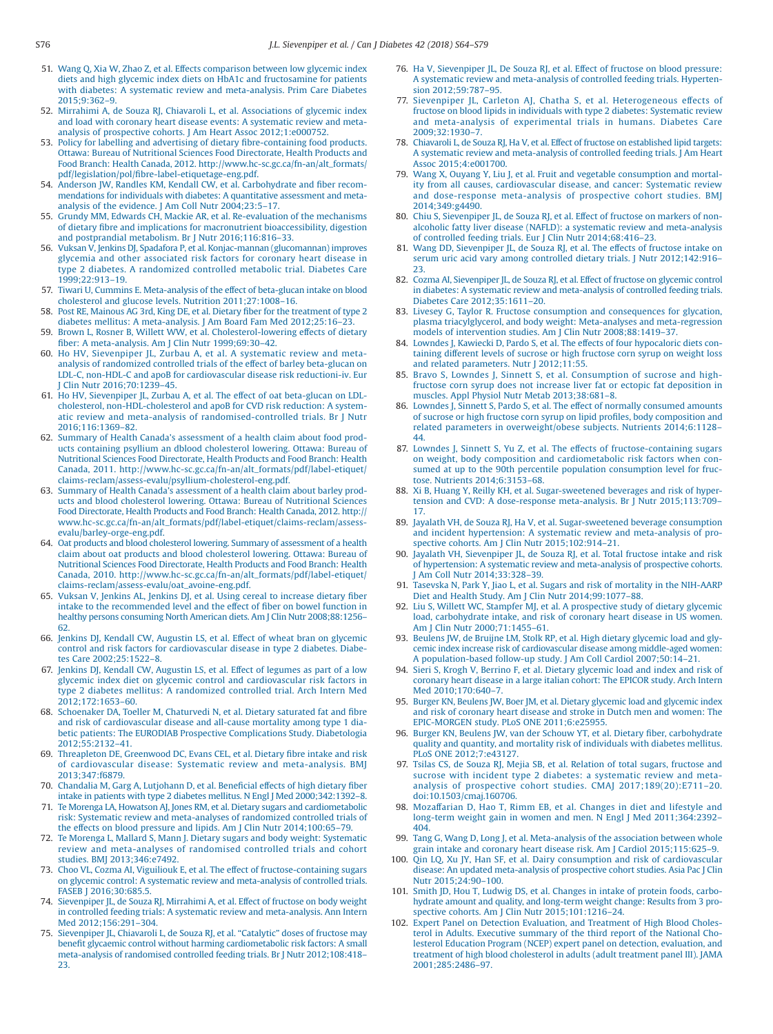- 51. Wang Q, Xia W, Zhao Z, et al. Effects comparison between low glycemic index diets and high glycemic index diets on HbA1c and fructosamine for patients with diabetes: A systematic review and meta-analysis. Prim Care Diabetes 2015;9:362–9.
- 52. Mirrahimi A, de Souza RJ, Chiavaroli L, et al. Associations of glycemic index and load with coronary heart disease events: A systematic review and metaanalysis of prospective cohorts. J Am Heart Assoc 2012;1:e000752.
- 53. Policy for labelling and advertising of dietary fibre-containing food products. Ottawa: Bureau of Nutritional Sciences Food Directorate, Health Products and Food Branch: Health Canada, 2012. http://www.hc-sc.gc.ca/fn-an/alt\_formats/ pdf/legislation/pol/fibre-label-etiquetage-eng.pdf.
- 54. Anderson JW, Randles KM, Kendall CW, et al. Carbohydrate and fiber recommendations for individuals with diabetes: A quantitative assessment and metaanalysis of the evidence. J Am Coll Nutr 2004;23:5–17.
- 55. Grundy MM, Edwards CH, Mackie AR, et al. Re-evaluation of the mechanisms of dietary fibre and implications for macronutrient bioaccessibility, digestion and postprandial metabolism. Br J Nutr 2016;116:816–33.
- 56. Vuksan V, Jenkins DJ, Spadafora P, et al. Konjac-mannan (glucomannan) improves glycemia and other associated risk factors for coronary heart disease in type 2 diabetes. A randomized controlled metabolic trial. Diabetes Care 1999;22:913–19.
- 57. Tiwari U, Cummins E. Meta-analysis of the effect of beta-glucan intake on blood cholesterol and glucose levels. Nutrition 2011;27:1008–16.
- 58. Post RE, Mainous AG 3rd, King DE, et al. Dietary fiber for the treatment of type 2 diabetes mellitus: A meta-analysis. J Am Board Fam Med 2012;25:16–23.
- 59. Brown L, Rosner B, Willett WW, et al. Cholesterol-lowering effects of dietary fiber: A meta-analysis. Am J Clin Nutr 1999;69:30–42.
- 60. Ho HV, Sievenpiper JL, Zurbau A, et al. A systematic review and metaanalysis of randomized controlled trials of the effect of barley beta-glucan on LDL-C, non-HDL-C and apoB for cardiovascular disease risk reductioni-iv. Eur J Clin Nutr 2016;70:1239–45.
- 61. Ho HV, Sievenpiper JL, Zurbau A, et al. The effect of oat beta-glucan on LDLcholesterol, non-HDL-cholesterol and apoB for CVD risk reduction: A systematic review and meta-analysis of randomised-controlled trials. Br J Nutr 2016;116:1369–82.
- 62. Summary of Health Canada's assessment of a health claim about food products containing psyllium an dblood cholesterol lowering. Ottawa: Bureau of Nutritional Sciences Food Directorate, Health Products and Food Branch: Health Canada, 2011. http://www.hc-sc.gc.ca/fn-an/alt\_formats/pdf/label-etiquet/ claims-reclam/assess-evalu/psyllium-cholesterol-eng.pdf.
- 63. Summary of Health Canada's assessment of a health claim about barley products and blood cholesterol lowering. Ottawa: Bureau of Nutritional Sciences Food Directorate, Health Products and Food Branch: Health Canada, 2012. http:// www.hc-sc.gc.ca/fn-an/alt\_formats/pdf/label-etiquet/claims-reclam/assessevalu/barley-orge-eng.pdf.
- 64. Oat products and blood cholesterol lowering. Summary of assessment of a health claim about oat products and blood cholesterol lowering. Ottawa: Bureau of Nutritional Sciences Food Directorate, Health Products and Food Branch: Health Canada, 2010. http://www.hc-sc.gc.ca/fn-an/alt\_formats/pdf/label-etiquet/ claims-reclam/assess-evalu/oat\_avoine-eng.pdf.
- 65. Vuksan V, Jenkins AL, Jenkins DJ, et al. Using cereal to increase dietary fiber intake to the recommended level and the effect of fiber on bowel function in healthy persons consuming North American diets. Am J Clin Nutr 2008;88:1256– 62.
- 66. Jenkins DJ, Kendall CW, Augustin LS, et al. Effect of wheat bran on glycemic control and risk factors for cardiovascular disease in type 2 diabetes. Diabetes Care 2002;25:1522–8.
- 67. Jenkins DJ, Kendall CW, Augustin LS, et al. Effect of legumes as part of a low glycemic index diet on glycemic control and cardiovascular risk factors in type 2 diabetes mellitus: A randomized controlled trial. Arch Intern Med 2012;172:1653–60.
- 68. Schoenaker DA, Toeller M, Chaturvedi N, et al. Dietary saturated fat and fibre and risk of cardiovascular disease and all-cause mortality among type 1 diabetic patients: The EURODIAB Prospective Complications Study. Diabetologia 2012;55:2132–41.
- 69. Threapleton DE, Greenwood DC, Evans CEL, et al. Dietary fibre intake and risk of cardiovascular disease: Systematic review and meta-analysis. BMJ 2013;347:f6879.
- 70. Chandalia M, Garg A, Lutjohann D, et al. Beneficial effects of high dietary fiber intake in patients with type 2 diabetes mellitus. N Engl J Med 2000;342:1392–8.
- 71. Te Morenga LA, Howatson AJ, Jones RM, et al. Dietary sugars and cardiometabolic risk: Systematic review and meta-analyses of randomized controlled trials of the effects on blood pressure and lipids. Am J Clin Nutr 2014;100:65–79.
- 72. Te Morenga L, Mallard S, Mann J. Dietary sugars and body weight: Systematic review and meta-analyses of randomised controlled trials and cohort studies. BMJ 2013;346:e7492.
- 73. Choo VL, Cozma AI, Viguiliouk E, et al. The effect of fructose-containing sugars on glycemic control: A systematic review and meta-analysis of controlled trials. FASEB J 2016;30:685.5.
- 74. Sievenpiper JL, de Souza RJ, Mirrahimi A, et al. Effect of fructose on body weight in controlled feeding trials: A systematic review and meta-analysis. Ann Intern Med 2012;156:291–304.
- 75. Sievenpiper JL, Chiavaroli L, de Souza RJ, et al. "Catalytic" doses of fructose may benefit glycaemic control without harming cardiometabolic risk factors: A small meta-analysis of randomised controlled feeding trials. Br J Nutr 2012;108:418– 23.
- 76. Ha V, Sievenpiper JL, De Souza RJ, et al. Effect of fructose on blood pressure: A systematic review and meta-analysis of controlled feeding trials. Hypertension 2012;59:787–95.
- 77. Sievenpiper JL, Carleton AJ, Chatha S, et al. Heterogeneous effects of fructose on blood lipids in individuals with type 2 diabetes: Systematic review and meta-analysis of experimental trials in humans. Diabetes Care 2009;32:1930–7.
- 78. Chiavaroli L, de Souza RJ, Ha V, et al. Effect of fructose on established lipid targets: A systematic review and meta-analysis of controlled feeding trials. J Am Heart Assoc 2015;4:e001700.
- 79. Wang X, Ouyang Y, Liu J, et al. Fruit and vegetable consumption and mortality from all causes, cardiovascular disease, and cancer: Systematic review and dose-response meta-analysis of prospective cohort studies. BMJ 2014;349:g4490.
- 80. Chiu S, Sievenpiper JL, de Souza RJ, et al. Effect of fructose on markers of nonalcoholic fatty liver disease (NAFLD): a systematic review and meta-analysis of controlled feeding trials. Eur J Clin Nutr 2014;68:416–23.
- 81. Wang DD, Sievenpiper JL, de Souza RJ, et al. The effects of fructose intake on serum uric acid vary among controlled dietary trials. J Nutr 2012;142:916– 23.
- 82. Cozma AI, Sievenpiper JL, de Souza RJ, et al. Effect of fructose on glycemic control in diabetes: A systematic review and meta-analysis of controlled feeding trials. Diabetes Care 2012;35:1611–20.
- 83. Livesey G, Taylor R. Fructose consumption and consequences for glycation, plasma triacylglycerol, and body weight: Meta-analyses and meta-regression models of intervention studies. Am J Clin Nutr 2008;88:1419–37.
- 84. Lowndes J, Kawiecki D, Pardo S, et al. The effects of four hypocaloric diets containing different levels of sucrose or high fructose corn syrup on weight loss and related parameters. Nutr J 2012;11:55.
- 85. Bravo S, Lowndes J, Sinnett S, et al. Consumption of sucrose and highfructose corn syrup does not increase liver fat or ectopic fat deposition in muscles. Appl Physiol Nutr Metab 2013;38:681–8.
- 86. Lowndes J, Sinnett S, Pardo S, et al. The effect of normally consumed amounts of sucrose or high fructose corn syrup on lipid profiles, body composition and related parameters in overweight/obese subjects. Nutrients 2014;6:1128– 44.
- 87. Lowndes J, Sinnett S, Yu Z, et al. The effects of fructose-containing sugars on weight, body composition and cardiometabolic risk factors when consumed at up to the 90th percentile population consumption level for fructose. Nutrients 2014;6:3153–68.
- 88. Xi B, Huang Y, Reilly KH, et al. Sugar-sweetened beverages and risk of hypertension and CVD: A dose-response meta-analysis. Br J Nutr 2015;113:709– 17.
- 89. Jayalath VH, de Souza RJ, Ha V, et al. Sugar-sweetened beverage consumption and incident hypertension: A systematic review and meta-analysis of prospective cohorts. Am J Clin Nutr 2015;102:914–21.
- 90. Jayalath VH, Sievenpiper JL, de Souza RJ, et al. Total fructose intake and risk of hypertension: A systematic review and meta-analysis of prospective cohorts. J Am Coll Nutr 2014;33:328–39.
- 91. Tasevska N, Park Y, Jiao L, et al. Sugars and risk of mortality in the NIH-AARP Diet and Health Study. Am J Clin Nutr 2014;99:1077–88.
- 92. Liu S, Willett WC, Stampfer MJ, et al. A prospective study of dietary glycemic load, carbohydrate intake, and risk of coronary heart disease in US women. Am J Clin Nutr 2000;71:1455–61.
- 93. Beulens JW, de Bruijne LM, Stolk RP, et al. High dietary glycemic load and glycemic index increase risk of cardiovascular disease among middle-aged women: A population-based follow-up study. J Am Coll Cardiol 2007;50:14–21.
- 94. Sieri S, Krogh V, Berrino F, et al. Dietary glycemic load and index and risk of coronary heart disease in a large italian cohort: The EPICOR study. Arch Intern Med 2010:170:640-7
- 95. Burger KN, Beulens JW, Boer JM, et al. Dietary glycemic load and glycemic index and risk of coronary heart disease and stroke in Dutch men and women: The EPIC-MORGEN study. PLoS ONE 2011;6:e25955.
- 96. Burger KN, Beulens JW, van der Schouw YT, et al. Dietary fiber, carbohydrate quality and quantity, and mortality risk of individuals with diabetes mellitus. PLoS ONE 2012;7:e43127.
- 97. Tsilas CS, de Souza RJ, Mejia SB, et al. Relation of total sugars, fructose and sucrose with incident type 2 diabetes: a systematic review and metaanalysis of prospective cohort studies. CMAJ 2017;189(20):E711–20. doi:10.1503/cmaj.160706.
- 98. Mozaffarian D, Hao T, Rimm EB, et al. Changes in diet and lifestyle and long-term weight gain in women and men. N Engl J Med 2011;364:2392-404.
- 99. Tang G, Wang D, Long J, et al. Meta-analysis of the association between whole grain intake and coronary heart disease risk. Am J Cardiol 2015;115:625–9.
- 100. Qin LQ, Xu JY, Han SF, et al. Dairy consumption and risk of cardiovascular disease: An updated meta-analysis of prospective cohort studies. Asia Pac J Clin Nutr 2015;24:90–100.
- 101. Smith JD, Hou T, Ludwig DS, et al. Changes in intake of protein foods, carbohydrate amount and quality, and long-term weight change: Results from 3 prospective cohorts. Am J Clin Nutr 2015;101:1216–24.
- 102. Expert Panel on Detection Evaluation, and Treatment of High Blood Cholesterol in Adults. Executive summary of the third report of the National Cholesterol Education Program (NCEP) expert panel on detection, evaluation, and treatment of high blood cholesterol in adults (adult treatment panel III). JAMA 2001;285:2486–97.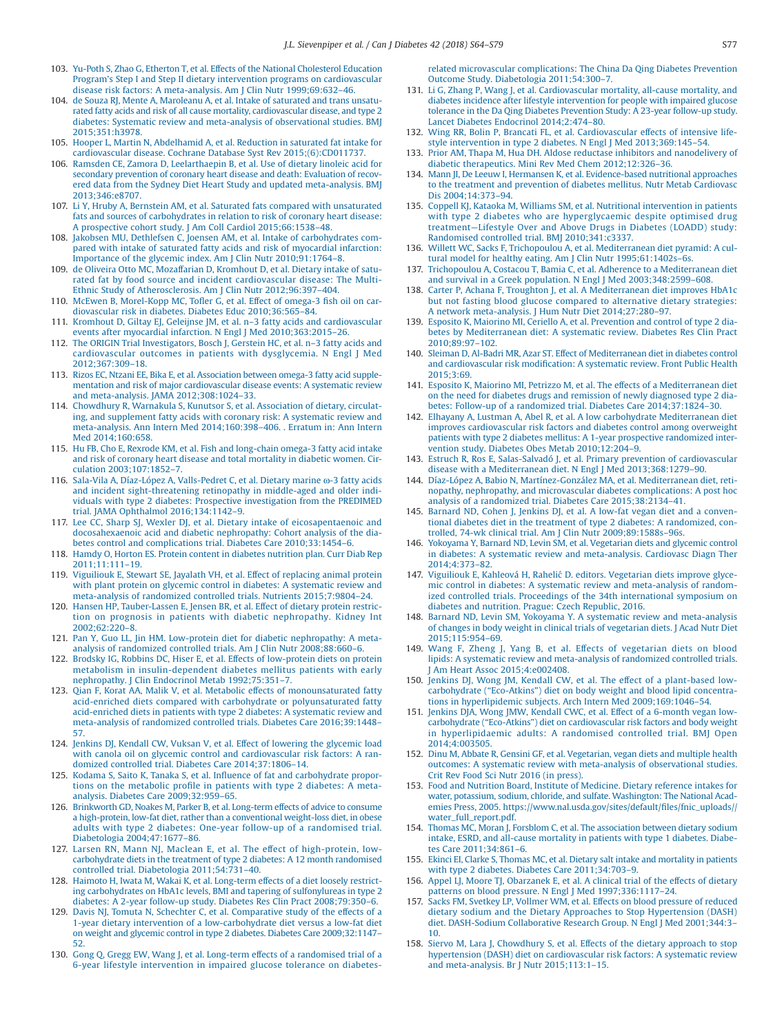- 103. Yu-Poth S, Zhao G, Etherton T, et al. Effects of the National Cholesterol Education Program's Step I and Step II dietary intervention programs on cardiovascular disease risk factors: A meta-analysis. Am J Clin Nutr 1999;69:632–46.
- 104. de Souza RJ, Mente A, Maroleanu A, et al. Intake of saturated and trans unsaturated fatty acids and risk of all cause mortality, cardiovascular disease, and type 2 diabetes: Systematic review and meta-analysis of observational studies. BMJ 2015;351:h3978.
- 105. Hooper L, Martin N, Abdelhamid A, et al. Reduction in saturated fat intake for cardiovascular disease. Cochrane Database Syst Rev 2015;(6):CD011737.
- 106. Ramsden CE, Zamora D, Leelarthaepin B, et al. Use of dietary linoleic acid for secondary prevention of coronary heart disease and death: Evaluation of recovered data from the Sydney Diet Heart Study and updated meta-analysis. BMJ 2013;346:e8707.
- 107. Li Y, Hruby A, Bernstein AM, et al. Saturated fats compared with unsaturated fats and sources of carbohydrates in relation to risk of coronary heart disease: A prospective cohort study. J Am Coll Cardiol 2015;66:1538–48.
- 108. Jakobsen MU, Dethlefsen C, Joensen AM, et al. Intake of carbohydrates compared with intake of saturated fatty acids and risk of myocardial infarction: Importance of the glycemic index. Am J Clin Nutr 2010;91:1764–8.
- 109. de Oliveira Otto MC, Mozaffarian D, Kromhout D, et al. Dietary intake of saturated fat by food source and incident cardiovascular disease: The Multi-Ethnic Study of Atherosclerosis. Am J Clin Nutr 2012;96:397–404.
- 110. McEwen B, Morel-Kopp MC, Tofler G, et al. Effect of omega-3 fish oil on cardiovascular risk in diabetes. Diabetes Educ 2010;36:565–84.
- 111. Kromhout D, Giltay EJ, Geleijnse JM, et al. n–3 fatty acids and cardiovascular events after myocardial infarction. N Engl J Med 2010;363:2015–26.
- 112. The ORIGIN Trial Investigators, Bosch J, Gerstein HC, et al. n–3 fatty acids and cardiovascular outcomes in patients with dysglycemia. N Engl J Med 2012;367:309–18.
- 113. Rizos EC, Ntzani EE, Bika E, et al. Association between omega-3 fatty acid supplementation and risk of major cardiovascular disease events: A systematic review and meta-analysis. JAMA 2012;308:1024–33.
- 114. Chowdhury R, Warnakula S, Kunutsor S, et al. Association of dietary, circulating, and supplement fatty acids with coronary risk: A systematic review and meta-analysis. Ann Intern Med 2014;160:398–406. . Erratum in: Ann Intern Med 2014;160:658.
- 115. Hu FB, Cho E, Rexrode KM, et al. Fish and long-chain omega-3 fatty acid intake and risk of coronary heart disease and total mortality in diabetic women. Circulation 2003;107:1852–7.
- 116. Sala-Vila A, Díaz-López A, Valls-Pedret C, et al. Dietary marine ω-3 fatty acids and incident sight-threatening retinopathy in middle-aged and older individuals with type 2 diabetes: Prospective investigation from the PREDIMED trial. JAMA Ophthalmol 2016;134:1142–9.
- 117. Lee CC, Sharp SJ, Wexler DJ, et al. Dietary intake of eicosapentaenoic and docosahexaenoic acid and diabetic nephropathy: Cohort analysis of the diabetes control and complications trial. Diabetes Care 2010;33:1454–6.
- 118. Hamdy O, Horton ES. Protein content in diabetes nutrition plan. Curr Diab Rep 2011;11:111–19.
- Viguiliouk E, Stewart SE, Jayalath VH, et al. Effect of replacing animal protein with plant protein on glycemic control in diabetes: A systematic review and meta-analysis of randomized controlled trials. Nutrients 2015;7:9804–24.
- 120. Hansen HP, Tauber-Lassen E, Jensen BR, et al. Effect of dietary protein restriction on prognosis in patients with diabetic nephropathy. Kidney Int 2002;62:220–8.
- 121. Pan Y, Guo LL, Jin HM. Low-protein diet for diabetic nephropathy: A metaanalysis of randomized controlled trials. Am J Clin Nutr 2008;88:660–6.
- 122. Brodsky IG, Robbins DC, Hiser E, et al. Effects of low-protein diets on protein metabolism in insulin-dependent diabetes mellitus patients with early nephropathy. J Clin Endocrinol Metab 1992;75:351–7.
- 123. Qian F, Korat AA, Malik V, et al. Metabolic effects of monounsaturated fatty acid-enriched diets compared with carbohydrate or polyunsaturated fatty acid-enriched diets in patients with type 2 diabetes: A systematic review and meta-analysis of randomized controlled trials. Diabetes Care 2016;39:1448– 57.
- 124. Jenkins DJ, Kendall CW, Vuksan V, et al. Effect of lowering the glycemic load with canola oil on glycemic control and cardiovascular risk factors: A randomized controlled trial. Diabetes Care 2014;37:1806–14.
- 125. Kodama S, Saito K, Tanaka S, et al. Influence of fat and carbohydrate proportions on the metabolic profile in patients with type 2 diabetes: A metaanalysis. Diabetes Care 2009;32:959–65.
- 126. Brinkworth GD, Noakes M, Parker B, et al. Long-term effects of advice to consume a high-protein, low-fat diet, rather than a conventional weight-loss diet, in obese adults with type 2 diabetes: One-year follow-up of a randomised trial. Diabetologia 2004;47:1677–86.
- 127. Larsen RN, Mann NJ, Maclean E, et al. The effect of high-protein, lowcarbohydrate diets in the treatment of type 2 diabetes: A 12 month randomised controlled trial. Diabetologia 2011;54:731–40.
- 128. Haimoto H, Iwata M, Wakai K, et al. Long-term effects of a diet loosely restricting carbohydrates on HbA1c levels, BMI and tapering of sulfonylureas in type 2 diabetes: A 2-year follow-up study. Diabetes Res Clin Pract 2008;79:350–6.
- 129. Davis NJ, Tomuta N, Schechter C, et al. Comparative study of the effects of a 1-year dietary intervention of a low-carbohydrate diet versus a low-fat diet on weight and glycemic control in type 2 diabetes. Diabetes Care 2009;32:1147– 52.
- 130. Gong Q, Gregg EW, Wang J, et al. Long-term effects of a randomised trial of a 6-year lifestyle intervention in impaired glucose tolerance on diabetes-

related microvascular complications: The China Da Qing Diabetes Prevention Outcome Study. Diabetologia 2011;54:300–7.

- 131. Li G, Zhang P, Wang J, et al. Cardiovascular mortality, all-cause mortality, and diabetes incidence after lifestyle intervention for people with impaired glucose tolerance in the Da Qing Diabetes Prevention Study: A 23-year follow-up study. Lancet Diabetes Endocrinol 2014;2:474–80.
- 132. Wing RR, Bolin P, Brancati FL, et al. Cardiovascular effects of intensive lifestyle intervention in type 2 diabetes. N Engl J Med 2013;369:145–54.
- 133. Prior AM, Thapa M, Hua DH. Aldose reductase inhibitors and nanodelivery of diabetic therapeutics. Mini Rev Med Chem 2012;12:326–36.
- 134. Mann JI, De Leeuw I, Hermansen K, et al. Evidence-based nutritional approaches to the treatment and prevention of diabetes mellitus. Nutr Metab Cardiovasc Dis 2004;14:373–94.
- 135. Coppell KJ, Kataoka M, Williams SM, et al. Nutritional intervention in patients with type 2 diabetes who are hyperglycaemic despite optimised drug treatment—Lifestyle Over and Above Drugs in Diabetes (LOADD) study: Randomised controlled trial. BMJ 2010;341:c3337.
- 136. Willett WC, Sacks F, Trichopoulou A, et al. Mediterranean diet pyramid: A cultural model for healthy eating. Am J Clin Nutr 1995;61:1402s–6s.
- 137. Trichopoulou A, Costacou T, Bamia C, et al. Adherence to a Mediterranean diet and survival in a Greek population. N Engl J Med 2003;348:2599–608.
- 138. Carter P, Achana F, Troughton J, et al. A Mediterranean diet improves HbA1c but not fasting blood glucose compared to alternative dietary strategies: A network meta-analysis. J Hum Nutr Diet 2014;27:280–97.
- 139. Esposito K, Maiorino MI, Ceriello A, et al. Prevention and control of type 2 diabetes by Mediterranean diet: A systematic review. Diabetes Res Clin Pract 2010;89:97–102.
- 140. Sleiman D, Al-Badri MR, Azar ST. Effect of Mediterranean diet in diabetes control and cardiovascular risk modification: A systematic review. Front Public Health 2015;3:69.
- 141. Esposito K, Maiorino MI, Petrizzo M, et al. The effects of a Mediterranean diet on the need for diabetes drugs and remission of newly diagnosed type 2 diabetes: Follow-up of a randomized trial. Diabetes Care 2014;37:1824–30.
- 142. Elhayany A, Lustman A, Abel R, et al. A low carbohydrate Mediterranean diet improves cardiovascular risk factors and diabetes control among overweight patients with type 2 diabetes mellitus: A 1-year prospective randomized intervention study. Diabetes Obes Metab 2010;12:204–9.
- 143. Estruch R, Ros E, Salas-Salvadó J, et al. Primary prevention of cardiovascular disease with a Mediterranean diet. N Engl J Med 2013;368:1279–90.
- 144. Díaz-López A, Babio N, Martínez-González MA, et al. Mediterranean diet, retinopathy, nephropathy, and microvascular diabetes complications: A post hoc analysis of a randomized trial. Diabetes Care 2015;38:2134–41.
- 145. Barnard ND, Cohen J, Jenkins DJ, et al. A low-fat vegan diet and a conventional diabetes diet in the treatment of type 2 diabetes: A randomized, controlled, 74-wk clinical trial. Am J Clin Nutr 2009;89:1588s–96s.
- 146. Yokoyama Y, Barnard ND, Levin SM, et al. Vegetarian diets and glycemic control in diabetes: A systematic review and meta-analysis. Cardiovasc Diagn Ther 2014;4:373–82.
- 147. Viguiliouk E, Kahleová H, Rahelić D. editors. Vegetarian diets improve glycemic control in diabetes: A systematic review and meta-analysis of randomized controlled trials. Proceedings of the 34th international symposium on diabetes and nutrition. Prague: Czech Republic, 2016.
- 148. Barnard ND, Levin SM, Yokoyama Y. A systematic review and meta-analysis of changes in body weight in clinical trials of vegetarian diets. J Acad Nutr Diet 2015;115:954–69.
- 149. Wang F, Zheng J, Yang B, et al. Effects of vegetarian diets on blood lipids: A systematic review and meta-analysis of randomized controlled trials. J Am Heart Assoc 2015;4:e002408.
- 150. Jenkins DJ, Wong JM, Kendall CW, et al. The effect of a plant-based lowcarbohydrate ("Eco-Atkins") diet on body weight and blood lipid concentrations in hyperlipidemic subjects. Arch Intern Med 2009;169:1046–54.
- 151. Jenkins DJA, Wong JMW, Kendall CWC, et al. Effect of a 6-month vegan lowcarbohydrate ("Eco-Atkins") diet on cardiovascular risk factors and body weight in hyperlipidaemic adults: A randomised controlled trial. BMJ Open 2014;4:003505.
- 152. Dinu M, Abbate R, Gensini GF, et al. Vegetarian, vegan diets and multiple health outcomes: A systematic review with meta-analysis of observational studies. Crit Rev Food Sci Nutr 2016 (in press).
- 153. Food and Nutrition Board, Institute of Medicine. Dietary reference intakes for water, potassium, sodium, chloride, and sulfate. Washington: The National Academies Press, 2005. https://www.nal.usda.gov/sites/default/files/fnic\_uploads// water\_full\_report.pdf.
- 154. Thomas MC, Moran J, Forsblom C, et al. The association between dietary sodium intake, ESRD, and all-cause mortality in patients with type 1 diabetes. Diabetes Care 2011;34:861–6.
- 155. Ekinci EI, Clarke S, Thomas MC, et al. Dietary salt intake and mortality in patients with type 2 diabetes. Diabetes Care 2011;34:703–9.
- 156. Appel LJ, Moore TJ, Obarzanek E, et al. A clinical trial of the effects of dietary patterns on blood pressure. N Engl J Med 1997;336:1117–24.
- 157. Sacks FM, Svetkey LP, Vollmer WM, et al. Effects on blood pressure of reduced dietary sodium and the Dietary Approaches to Stop Hypertension (DASH) diet. DASH-Sodium Collaborative Research Group. N Engl J Med 2001;344:3– 10.
- 158. Siervo M, Lara J, Chowdhury S, et al. Effects of the dietary approach to stop hypertension (DASH) diet on cardiovascular risk factors: A systematic review and meta-analysis. Br J Nutr 2015;113:1–15.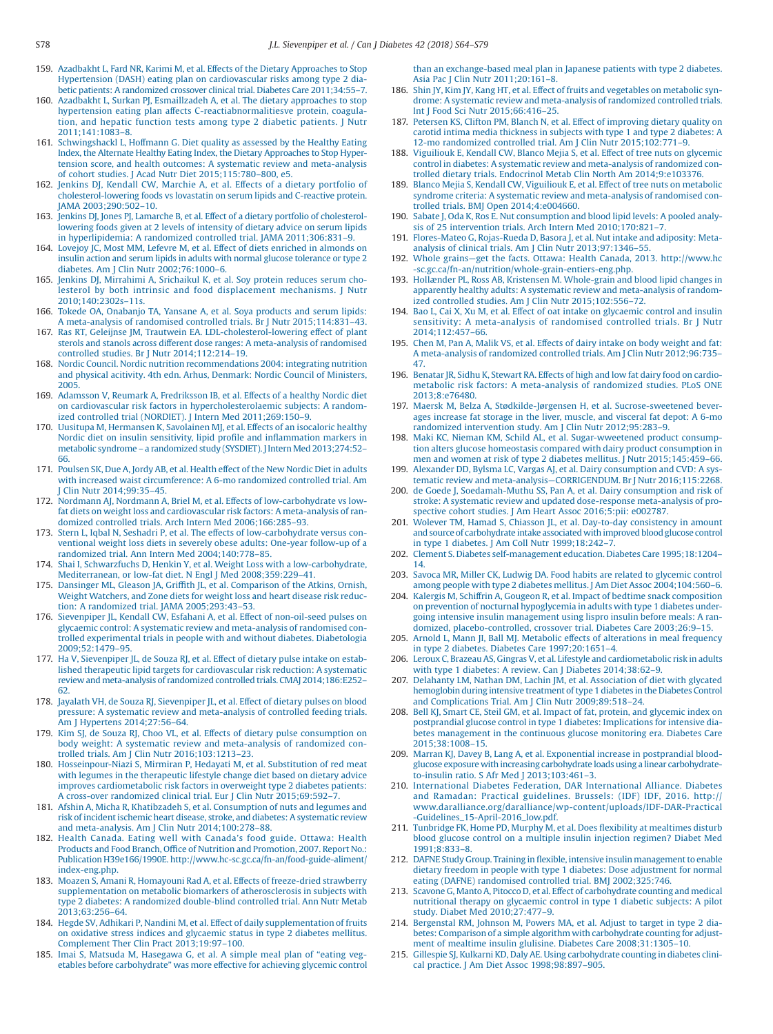- 159. Azadbakht L, Fard NR, Karimi M, et al. Effects of the Dietary Approaches to Stop Hypertension (DASH) eating plan on cardiovascular risks among type 2 diabetic patients: A randomized crossover clinical trial. Diabetes Care 2011;34:55–7.
- 160. Azadbakht L, Surkan PJ, Esmaillzadeh A, et al. The dietary approaches to stop hypertension eating plan affects C-reactiabnormalitiesve protein, coagulation, and hepatic function tests among type 2 diabetic patients. J Nutr 2011;141:1083–8.
- 161. Schwingshackl L, Hoffmann G. Diet quality as assessed by the Healthy Eating Index, the Alternate Healthy Eating Index, the Dietary Approaches to Stop Hypertension score, and health outcomes: A systematic review and meta-analysis of cohort studies. J Acad Nutr Diet 2015;115:780–800, e5.
- 162. Jenkins DJ, Kendall CW, Marchie A, et al. Effects of a dietary portfolio of cholesterol-lowering foods vs lovastatin on serum lipids and C-reactive protein. JAMA 2003;290:502–10.
- Jenkins DJ, Jones PJ, Lamarche B, et al. Effect of a dietary portfolio of cholesterollowering foods given at 2 levels of intensity of dietary advice on serum lipids in hyperlipidemia: A randomized controlled trial. JAMA 2011;306:831–9.
- 164. Lovejoy JC, Most MM, Lefevre M, et al. Effect of diets enriched in almonds on insulin action and serum lipids in adults with normal glucose tolerance or type 2 diabetes. Am J Clin Nutr 2002;76:1000–6.
- 165. Jenkins DJ, Mirrahimi A, Srichaikul K, et al. Soy protein reduces serum cholesterol by both intrinsic and food displacement mechanisms. J Nutr 2010;140:2302s–11s.
- 166. Tokede OA, Onabanjo TA, Yansane A, et al. Soya products and serum lipids: A meta-analysis of randomised controlled trials. Br J Nutr 2015;114:831–43.
- 167. Ras RT, Geleijnse JM, Trautwein EA. LDL-cholesterol-lowering effect of plant sterols and stanols across different dose ranges: A meta-analysis of randomised controlled studies. Br J Nutr 2014;112:214–19.
- 168. Nordic Council. Nordic nutrition recommendations 2004: integrating nutrition and physical acitivity. 4th edn. Arhus, Denmark: Nordic Council of Ministers, 2005.
- 169. Adamsson V, Reumark A, Fredriksson IB, et al. Effects of a healthy Nordic diet on cardiovascular risk factors in hypercholesterolaemic subjects: A randomized controlled trial (NORDIET). J Intern Med 2011;269:150–9.
- 170. Uusitupa M, Hermansen K, Savolainen MJ, et al. Effects of an isocaloric healthy Nordic diet on insulin sensitivity, lipid profile and inflammation markers in metabolic syndrome–arandomized study (SYSDIET). J Intern Med 2013;274:52– 66.
- 171. Poulsen SK, Due A, Jordy AB, et al. Health effect of the New Nordic Diet in adults with increased waist circumference: A 6-mo randomized controlled trial. Am Clin Nutr 2014;99:35-45.
- 172. Nordmann AJ, Nordmann A, Briel M, et al. Effects of low-carbohydrate vs lowfat diets on weight loss and cardiovascular risk factors: A meta-analysis of randomized controlled trials. Arch Intern Med 2006;166:285–93.
- 173. Stern L, Iqbal N, Seshadri P, et al. The effects of low-carbohydrate versus conventional weight loss diets in severely obese adults: One-year follow-up of a randomized trial. Ann Intern Med 2004;140:778–85.
- 174. Shai I, Schwarzfuchs D, Henkin Y, et al. Weight Loss with a low-carbohydrate, Mediterranean, or low-fat diet. N Engl J Med 2008;359:229–41.
- Dansinger ML, Gleason JA, Griffith JL, et al. Comparison of the Atkins, Ornish, Weight Watchers, and Zone diets for weight loss and heart disease risk reduction: A randomized trial. JAMA 2005;293:43–53.
- Sievenpiper JL, Kendall CW, Esfahani A, et al. Effect of non-oil-seed pulses on glycaemic control: A systematic review and meta-analysis of randomised controlled experimental trials in people with and without diabetes. Diabetologia 2009;52:1479–95.
- 177. Ha V, Sievenpiper JL, de Souza RJ, et al. Effect of dietary pulse intake on established therapeutic lipid targets for cardiovascular risk reduction: A systematic review and meta-analysis of randomized controlled trials. CMAJ 2014;186:E252– 62.
- 178. Jayalath VH, de Souza RJ, Sievenpiper JL, et al. Effect of dietary pulses on blood pressure: A systematic review and meta-analysis of controlled feeding trials. Am J Hypertens 2014;27:56–64.
- 179. Kim SJ, de Souza RJ, Choo VL, et al. Effects of dietary pulse consumption on body weight: A systematic review and meta-analysis of randomized controlled trials. Am J Clin Nutr 2016;103:1213–23.
- 180. Hosseinpour-Niazi S, Mirmiran P, Hedayati M, et al. Substitution of red meat with legumes in the therapeutic lifestyle change diet based on dietary advice improves cardiometabolic risk factors in overweight type 2 diabetes patients: A cross-over randomized clinical trial. Eur J Clin Nutr 2015;69:592–7.
- 181. Afshin A, Micha R, Khatibzadeh S, et al. Consumption of nuts and legumes and risk of incident ischemic heart disease, stroke, and diabetes: A systematic review and meta-analysis. Am J Clin Nutr 2014;100:278–88.
- 182. Health Canada. Eating well with Canada's food guide. Ottawa: Health Products and Food Branch, Office of Nutrition and Promotion, 2007. Report No.: Publication H39e166/1990E. http://www.hc-sc.gc.ca/fn-an/food-guide-aliment/ index-eng.php.
- 183. Moazen S, Amani R, Homayouni Rad A, et al. Effects of freeze-dried strawberry supplementation on metabolic biomarkers of atherosclerosis in subjects with type 2 diabetes: A randomized double-blind controlled trial. Ann Nutr Metab 2013;63:256–64.
- 184. Hegde SV, Adhikari P, Nandini M, et al. Effect of daily supplementation of fruits on oxidative stress indices and glycaemic status in type 2 diabetes mellitus. Complement Ther Clin Pract 2013;19:97–100.
- 185. Imai S, Matsuda M, Hasegawa G, et al. A simple meal plan of "eating vegetables before carbohydrate" was more effective for achieving glycemic control

than an exchange-based meal plan in Japanese patients with type 2 diabetes. Asia Pac J Clin Nutr 2011;20:161–8.

- 186. Shin JY, Kim JY, Kang HT, et al. Effect of fruits and vegetables on metabolic syndrome: A systematic review and meta-analysis of randomized controlled trials. Int J Food Sci Nutr 2015;66:416–25.
- 187. Petersen KS, Clifton PM, Blanch N, et al. Effect of improving dietary quality on carotid intima media thickness in subjects with type 1 and type 2 diabetes: A 12-mo randomized controlled trial. Am J Clin Nutr 2015;102:771–9.
- 188. Viguiliouk E, Kendall CW, Blanco Mejia S, et al. Effect of tree nuts on glycemic control in diabetes: A systematic review and meta-analysis of randomized controlled dietary trials. Endocrinol Metab Clin North Am 2014;9:e103376.
- 189. Blanco Mejia S, Kendall CW, Viguiliouk E, et al. Effect of tree nuts on metabolic syndrome criteria: A systematic review and meta-analysis of randomised controlled trials. BMJ Open 2014;4:e004660.
- 190. Sabate J, Oda K, Ros E. Nut consumption and blood lipid levels: A pooled analysis of 25 intervention trials. Arch Intern Med 2010;170:821–7.
- 191. Flores-Mateo G, Rojas-Rueda D, Basora J, et al. Nut intake and adiposity: Metaanalysis of clinical trials. Am J Clin Nutr 2013;97:1346–55.
- 192. Whole grains—get the facts. Ottawa: Health Canada, 2013. http://www.hc -sc.gc.ca/fn-an/nutrition/whole-grain-entiers-eng.php.
- 193. Hollænder PL, Ross AB, Kristensen M. Whole-grain and blood lipid changes in apparently healthy adults: A systematic review and meta-analysis of randomized controlled studies. Am J Clin Nutr 2015;102:556–72.
- 194. Bao L, Cai X, Xu M, et al. Effect of oat intake on glycaemic control and insulin sensitivity: A meta-analysis of randomised controlled trials. Br J Nutr 2014;112:457–66.
- 195. Chen M, Pan A, Malik VS, et al. Effects of dairy intake on body weight and fat: A meta-analysis of randomized controlled trials. Am J Clin Nutr 2012;96:735– 47.
- 196. Benatar JR, Sidhu K, Stewart RA. Effects of high and low fat dairy food on cardiometabolic risk factors: A meta-analysis of randomized studies. PLoS ONE 2013;8:e76480.
- 197. Maersk M, Belza A, Stødkilde-Jørgensen H, et al. Sucrose-sweetened beverages increase fat storage in the liver, muscle, and visceral fat depot: A 6-mo randomized intervention study. Am J Clin Nutr 2012;95:283–9.
- 198. Maki KC, Nieman KM, Schild AL, et al. Sugar-wweetened product consumption alters glucose homeostasis compared with dairy product consumption in men and women at risk of type 2 diabetes mellitus. J Nutr 2015;145:459–66.
- 199. Alexander DD, Bylsma LC, Vargas AJ, et al. Dairy consumption and CVD: A systematic review and meta-analysis—CORRIGENDUM. Br J Nutr 2016;115:2268.
- 200. de Goede J, Soedamah-Muthu SS, Pan A, et al. Dairy consumption and risk of stroke: A systematic review and updated dose-response meta-analysis of prospective cohort studies. J Am Heart Assoc 2016;5:pii: e002787.
- 201. Wolever TM, Hamad S, Chiasson JL, et al. Day-to-day consistency in amount and source of carbohydrate intake associated with improved blood glucose control in type 1 diabetes. J Am Coll Nutr 1999;18:242–7.
- 202. Clement S. Diabetes self-management education. Diabetes Care 1995;18:1204– 14.
- 203. Savoca MR, Miller CK, Ludwig DA. Food habits are related to glycemic control among people with type 2 diabetes mellitus. J Am Diet Assoc 2004;104:560–6.
- 204. Kalergis M, Schiffrin A, Gougeon R, et al. Impact of bedtime snack composition on prevention of nocturnal hypoglycemia in adults with type 1 diabetes undergoing intensive insulin management using lispro insulin before meals: A randomized, placebo-controlled, crossover trial. Diabetes Care 2003;26:9–15.
- 205. Arnold L, Mann JI, Ball MJ. Metabolic effects of alterations in meal frequency in type 2 diabetes. Diabetes Care 1997;20:1651–4.
- 206. Leroux C, Brazeau AS, Gingras V, et al. Lifestyle and cardiometabolic risk in adults with type 1 diabetes: A review. Can J Diabetes 2014;38:62–9.
- 207. Delahanty LM, Nathan DM, Lachin JM, et al. Association of diet with glycated hemoglobin during intensive treatment of type 1 diabetes in the Diabetes Control and Complications Trial. Am J Clin Nutr 2009;89:518–24.
- 208. Bell KJ, Smart CE, Steil GM, et al. Impact of fat, protein, and glycemic index on postprandial glucose control in type 1 diabetes: Implications for intensive diabetes management in the continuous glucose monitoring era. Diabetes Care 2015;38:1008–15.
- 209. Marran KJ, Davey B, Lang A, et al. Exponential increase in postprandial bloodglucose exposure with increasing carbohydrate loads using a linear carbohydrateto-insulin ratio. S Afr Med J 2013;103:461–3.
- 210. International Diabetes Federation, DAR International Alliance. Diabetes and Ramadan: Practical guidelines. Brussels: (IDF) IDF, 2016. http:// www.daralliance.org/daralliance/wp-content/uploads/IDF-DAR-Practical -Guidelines\_15-April-2016\_low.pdf.
- 211. Tunbridge FK, Home PD, Murphy M, et al. Does flexibility at mealtimes disturb blood glucose control on a multiple insulin injection regimen? Diabet Med 1991;8:833–8.
- 212. DAFNE Study Group. Training in flexible, intensive insulin management to enable dietary freedom in people with type 1 diabetes: Dose adjustment for normal eating (DAFNE) randomised controlled trial. BMJ 2002;325:746.
- 213. Scavone G, Manto A, Pitocco D, et al. Effect of carbohydrate counting and medical nutritional therapy on glycaemic control in type 1 diabetic subjects: A pilot study. Diabet Med 2010;27:477–9.
- 214. Bergenstal RM, Johnson M, Powers MA, et al. Adjust to target in type 2 diabetes: Comparison of a simple algorithm with carbohydrate counting for adjustment of mealtime insulin glulisine. Diabetes Care 2008;31:1305–10.
- 215. Gillespie SJ, Kulkarni KD, Daly AE. Using carbohydrate counting in diabetes clinical practice. J Am Diet Assoc 1998;98:897–905.